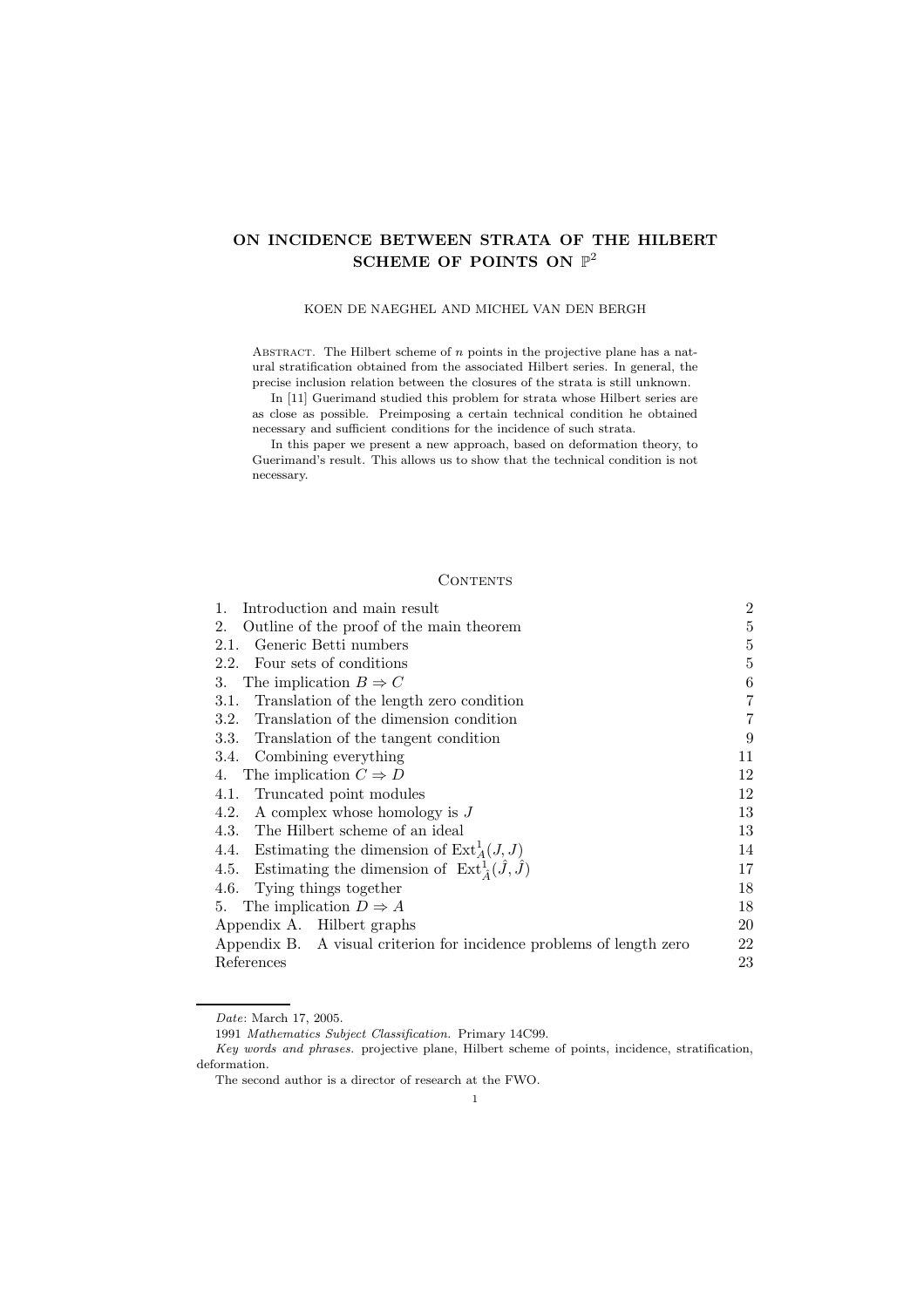# ON INCIDENCE BETWEEN STRATA OF THE HILBERT SCHEME OF POINTS ON  $\mathbb{P}^2$

### KOEN DE NAEGHEL AND MICHEL VAN DEN BERGH

ABSTRACT. The Hilbert scheme of  $n$  points in the projective plane has a natural stratification obtained from the associated Hilbert series. In general, the precise inclusion relation between the closures of the strata is still unknown.

In [11] Guerimand studied this problem for strata whose Hilbert series are as close as possible. Preimposing a certain technical condition he obtained necessary and sufficient conditions for the incidence of such strata.

In this paper we present a new approach, based on deformation theory, to Guerimand's result. This allows us to show that the technical condition is not necessary.

### **CONTENTS**

| Introduction and main result<br>1.                                         |    |  |  |  |  |  |
|----------------------------------------------------------------------------|----|--|--|--|--|--|
| Outline of the proof of the main theorem<br>2.                             |    |  |  |  |  |  |
| Generic Betti numbers<br>2.1.                                              |    |  |  |  |  |  |
| Four sets of conditions<br>2.2.                                            |    |  |  |  |  |  |
| The implication $B \Rightarrow C$<br>3.                                    |    |  |  |  |  |  |
| Translation of the length zero condition<br>3.1.                           |    |  |  |  |  |  |
| 3.2. Translation of the dimension condition                                | 7  |  |  |  |  |  |
| 3.3. Translation of the tangent condition                                  |    |  |  |  |  |  |
| 3.4. Combining everything                                                  | 11 |  |  |  |  |  |
| The implication $C \Rightarrow D$<br>4.                                    |    |  |  |  |  |  |
| Truncated point modules<br>4.1.                                            |    |  |  |  |  |  |
| A complex whose homology is $J$<br>4.2.                                    | 13 |  |  |  |  |  |
| 4.3. The Hilbert scheme of an ideal                                        |    |  |  |  |  |  |
| 4.4. Estimating the dimension of $\text{Ext}^1_A(J, J)$                    |    |  |  |  |  |  |
| 4.5. Estimating the dimension of $\text{Ext}^1_{\hat{A}}(\hat{J},\hat{J})$ |    |  |  |  |  |  |
| 4.6. Tying things together                                                 |    |  |  |  |  |  |
| 5. The implication $D \Rightarrow A$                                       |    |  |  |  |  |  |
| Appendix A. Hilbert graphs                                                 |    |  |  |  |  |  |
| Appendix B. A visual criterion for incidence problems of length zero       |    |  |  |  |  |  |
| References                                                                 |    |  |  |  |  |  |

Date: March 17, 2005.

<sup>1991</sup> Mathematics Subject Classification. Primary 14C99.

Key words and phrases. projective plane, Hilbert scheme of points, incidence, stratification, deformation.

The second author is a director of research at the FWO.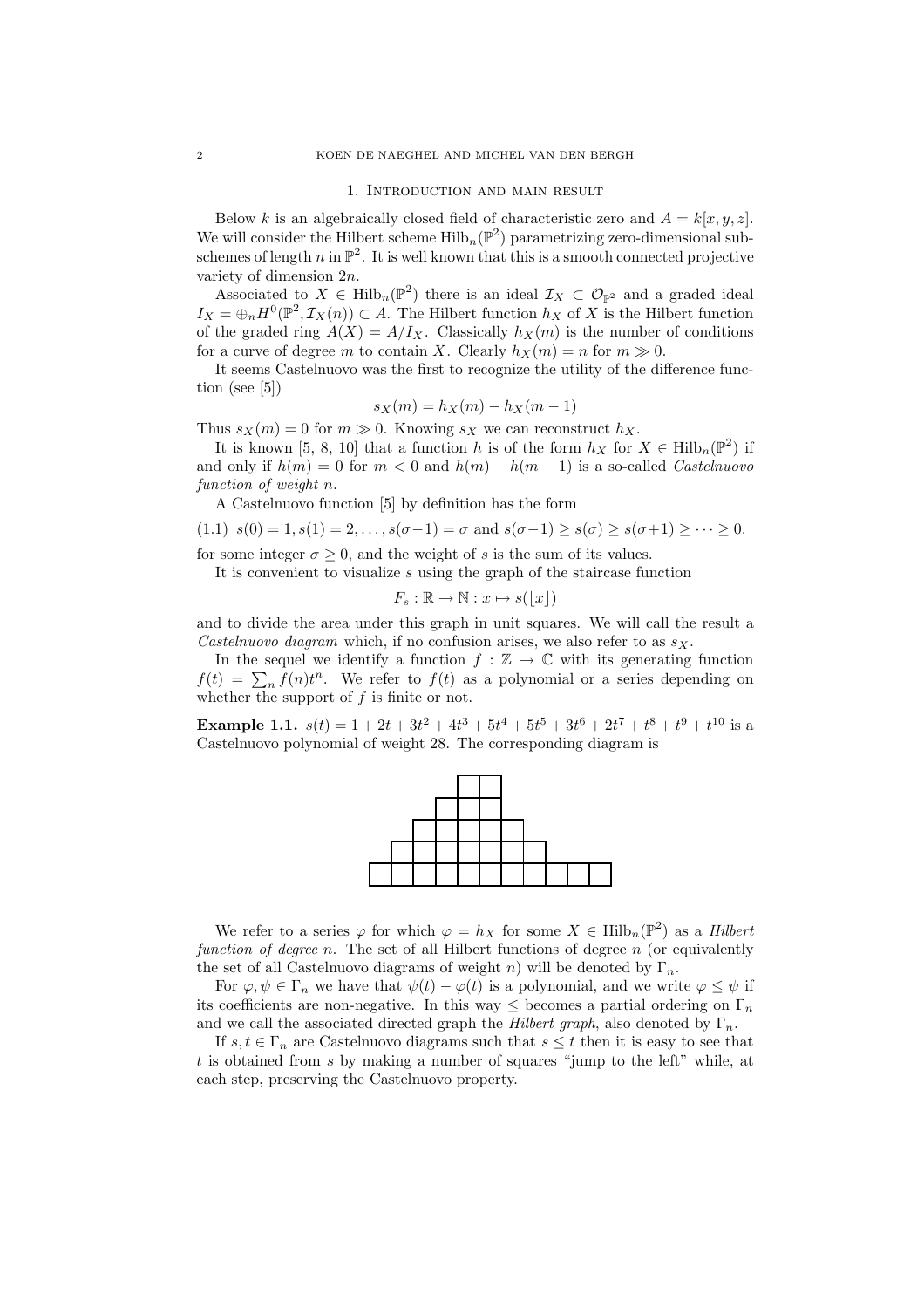### 1. Introduction and main result

Below k is an algebraically closed field of characteristic zero and  $A = k[x, y, z]$ . We will consider the Hilbert scheme  $\mathrm{Hilb}_{n}(\mathbb{P}^{2})$  parametrizing zero-dimensional subschemes of length n in  $\mathbb{P}^2$ . It is well known that this is a smooth connected projective variety of dimension 2n.

Associated to  $X \in \text{Hilb}_n(\mathbb{P}^2)$  there is an ideal  $\mathcal{I}_X \subset \mathcal{O}_{\mathbb{P}^2}$  and a graded ideal  $I_X = \bigoplus_n H^0(\mathbb{P}^2, \mathcal{I}_X(n)) \subset A$ . The Hilbert function  $h_X$  of X is the Hilbert function of the graded ring  $A(X) = A/I_X$ . Classically  $h_X(m)$  is the number of conditions for a curve of degree m to contain X. Clearly  $h_X(m) = n$  for  $m \gg 0$ .

It seems Castelnuovo was the first to recognize the utility of the difference function (see [5])

$$
s_X(m) = h_X(m) - h_X(m-1)
$$

Thus  $s_X(m) = 0$  for  $m \gg 0$ . Knowing  $s_X$  we can reconstruct  $h_X$ .

It is known [5, 8, 10] that a function h is of the form  $h_X$  for  $X \in \text{Hilb}_n(\mathbb{P}^2)$  if and only if  $h(m) = 0$  for  $m < 0$  and  $h(m) - h(m - 1)$  is a so-called *Castelnuovo* function of weight n.

A Castelnuovo function [5] by definition has the form

$$
(1.1) \ \ s(0) = 1, s(1) = 2, \dots, s(\sigma - 1) = \sigma \text{ and } s(\sigma - 1) \ge s(\sigma) \ge s(\sigma + 1) \ge \dots \ge 0.
$$

for some integer  $\sigma > 0$ , and the weight of s is the sum of its values.

It is convenient to visualize  $s$  using the graph of the staircase function

$$
F_s : \mathbb{R} \to \mathbb{N} : x \mapsto s(\lfloor x \rfloor)
$$

and to divide the area under this graph in unit squares. We will call the result a Castelnuovo diagram which, if no confusion arises, we also refer to as  $sx$ .

In the sequel we identify a function  $f : \mathbb{Z} \to \mathbb{C}$  with its generating function  $f(t) = \sum_{n} f(n)t^{n}$ . We refer to  $f(t)$  as a polynomial or a series depending on whether the support of  $f$  is finite or not.

**Example 1.1.**  $s(t) = 1 + 2t + 3t^2 + 4t^3 + 5t^4 + 5t^5 + 3t^6 + 2t^7 + t^8 + t^9 + t^{10}$  is a Castelnuovo polynomial of weight 28. The corresponding diagram is



We refer to a series  $\varphi$  for which  $\varphi = h_X$  for some  $X \in \text{Hilb}_n(\mathbb{P}^2)$  as a Hilbert function of degree n. The set of all Hilbert functions of degree  $n$  (or equivalently the set of all Castelnuovo diagrams of weight n) will be denoted by  $\Gamma_n$ .

For  $\varphi, \psi \in \Gamma_n$  we have that  $\psi(t) - \varphi(t)$  is a polynomial, and we write  $\varphi \leq \psi$  if its coefficients are non-negative. In this way  $\leq$  becomes a partial ordering on  $\Gamma_n$ and we call the associated directed graph the Hilbert graph, also denoted by  $\Gamma_n$ .

If  $s, t \in \Gamma_n$  are Castelnuovo diagrams such that  $s \leq t$  then it is easy to see that t is obtained from s by making a number of squares "jump to the left" while, at each step, preserving the Castelnuovo property.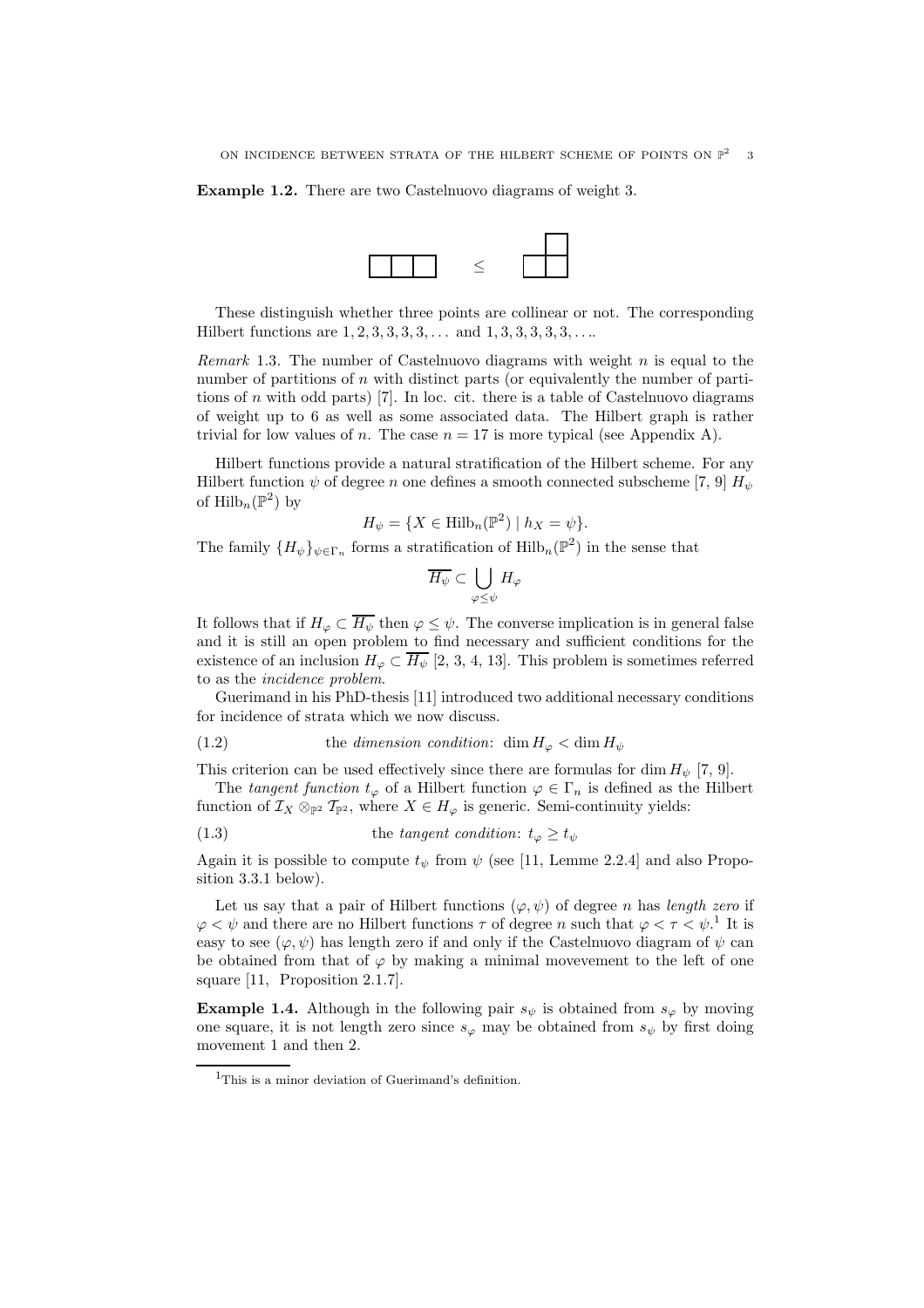Example 1.2. There are two Castelnuovo diagrams of weight 3.



These distinguish whether three points are collinear or not. The corresponding Hilbert functions are  $1, 2, 3, 3, 3, 3, \ldots$  and  $1, 3, 3, 3, 3, 3, \ldots$ 

*Remark* 1.3. The number of Castelnuovo diagrams with weight n is equal to the number of partitions of  $n$  with distinct parts (or equivalently the number of partitions of  $n$  with odd parts) [7]. In loc. cit. there is a table of Castelnuovo diagrams of weight up to 6 as well as some associated data. The Hilbert graph is rather trivial for low values of *n*. The case  $n = 17$  is more typical (see Appendix A).

Hilbert functions provide a natural stratification of the Hilbert scheme. For any Hilbert function  $\psi$  of degree n one defines a smooth connected subscheme [7, 9]  $H_{\psi}$ of  $\mathrm{Hilb}_{n}(\mathbb{P}^{2})$  by

$$
H_{\psi} = \{ X \in \text{Hilb}_n(\mathbb{P}^2) \mid h_X = \psi \}.
$$

The family  $\{H_{\psi}\}_{\psi \in \Gamma_n}$  forms a stratification of  $\mathrm{Hilb}_n(\mathbb{P}^2)$  in the sense that

$$
\overline{H_{\psi}} \subset \bigcup_{\varphi \leq \psi} H_{\varphi}
$$

It follows that if  $H_{\varphi} \subset \overline{H_{\psi}}$  then  $\varphi \leq \psi$ . The converse implication is in general false and it is still an open problem to find necessary and sufficient conditions for the existence of an inclusion  $H_{\varphi} \subset \overline{H_{\psi}}$  [2, 3, 4, 13]. This problem is sometimes referred to as the incidence problem.

Guerimand in his PhD-thesis [11] introduced two additional necessary conditions for incidence of strata which we now discuss.

(1.2) the dimension condition: 
$$
\dim H_{\varphi} < \dim H_{\psi}
$$

This criterion can be used effectively since there are formulas for dim  $H_{\psi}$  [7, 9].

The tangent function  $t_{\varphi}$  of a Hilbert function  $\varphi \in \Gamma_n$  is defined as the Hilbert function of  $\mathcal{I}_X \otimes_{\mathbb{P}^2} \mathcal{I}_{\mathbb{P}^2}$ , where  $X \in H_\varphi$  is generic. Semi-continuity yields:

(1.3) the tangent condition: 
$$
t_{\varphi} \ge t_{\psi}
$$

Again it is possible to compute  $t_{\psi}$  from  $\psi$  (see [11, Lemme 2.2.4] and also Proposition 3.3.1 below).

Let us say that a pair of Hilbert functions  $(\varphi, \psi)$  of degree n has length zero if  $\varphi < \psi$  and there are no Hilbert functions  $\tau$  of degree n such that  $\varphi < \tau < \psi$ <sup>1</sup>. It is easy to see  $(\varphi, \psi)$  has length zero if and only if the Castelnuovo diagram of  $\psi$  can be obtained from that of  $\varphi$  by making a minimal movevement to the left of one square [11, Proposition 2.1.7].

**Example 1.4.** Although in the following pair  $s_{\psi}$  is obtained from  $s_{\varphi}$  by moving one square, it is not length zero since  $s_{\varphi}$  may be obtained from  $s_{\psi}$  by first doing movement 1 and then 2.

<sup>1</sup>This is a minor deviation of Guerimand's definition.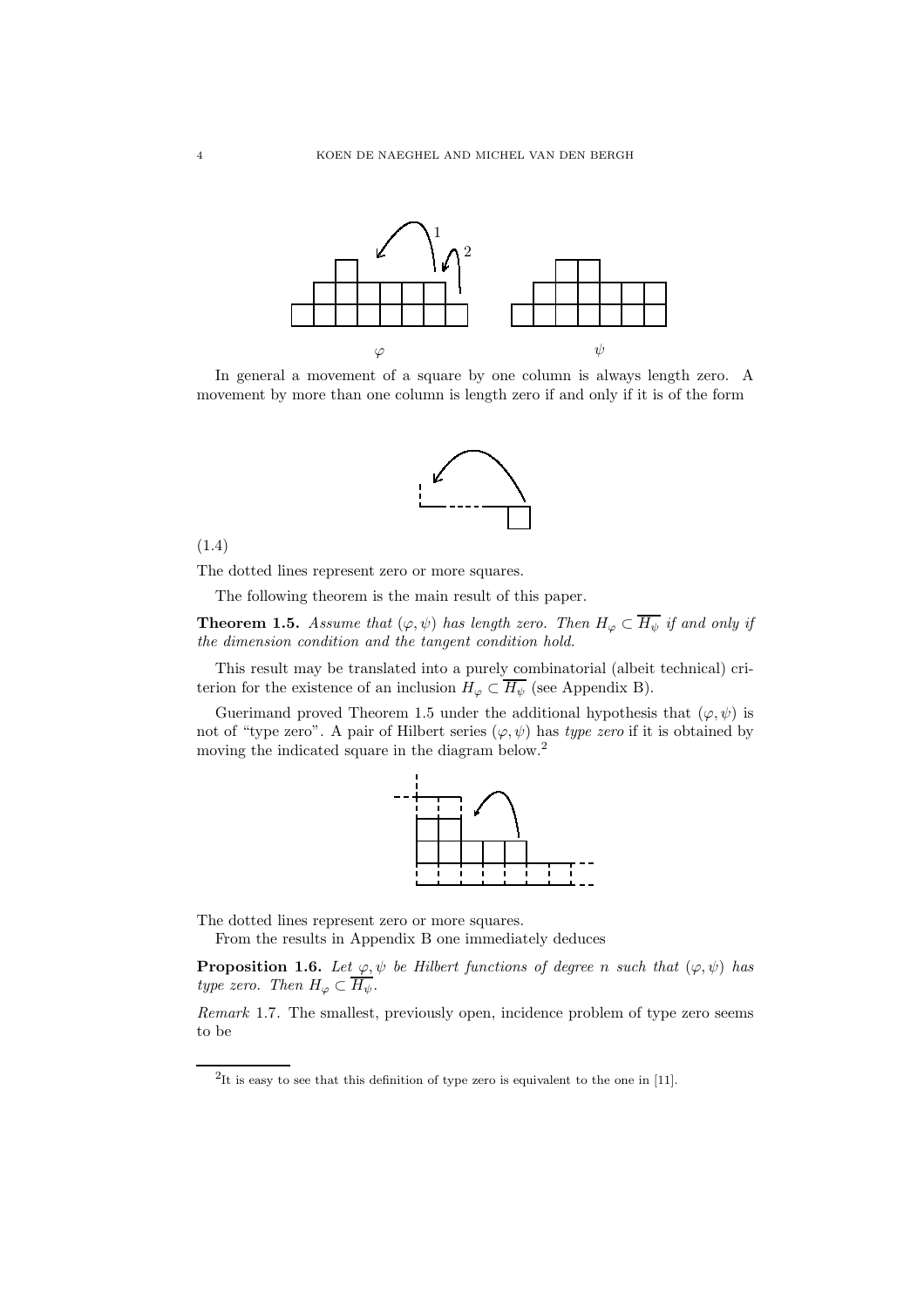

In general a movement of a square by one column is always length zero. A movement by more than one column is length zero if and only if it is of the form



## (1.4)

The dotted lines represent zero or more squares.

The following theorem is the main result of this paper.

**Theorem 1.5.** Assume that  $(\varphi, \psi)$  has length zero. Then  $H_{\varphi} \subset \overline{H_{\psi}}$  if and only if the dimension condition and the tangent condition hold.

This result may be translated into a purely combinatorial (albeit technical) criterion for the existence of an inclusion  $H_{\varphi} \subset \overline{H_{\psi}}$  (see Appendix B).

Guerimand proved Theorem 1.5 under the additional hypothesis that  $(\varphi, \psi)$  is not of "type zero". A pair of Hilbert series  $(\varphi, \psi)$  has type zero if it is obtained by moving the indicated square in the diagram below.<sup>2</sup>



The dotted lines represent zero or more squares.

From the results in Appendix B one immediately deduces

**Proposition 1.6.** Let  $\varphi, \psi$  be Hilbert functions of degree n such that  $(\varphi, \psi)$  has type zero. Then  $H_{\varphi} \subset \overline{H_{\psi}}$ .

Remark 1.7. The smallest, previously open, incidence problem of type zero seems to be

<sup>&</sup>lt;sup>2</sup>It is easy to see that this definition of type zero is equivalent to the one in [11].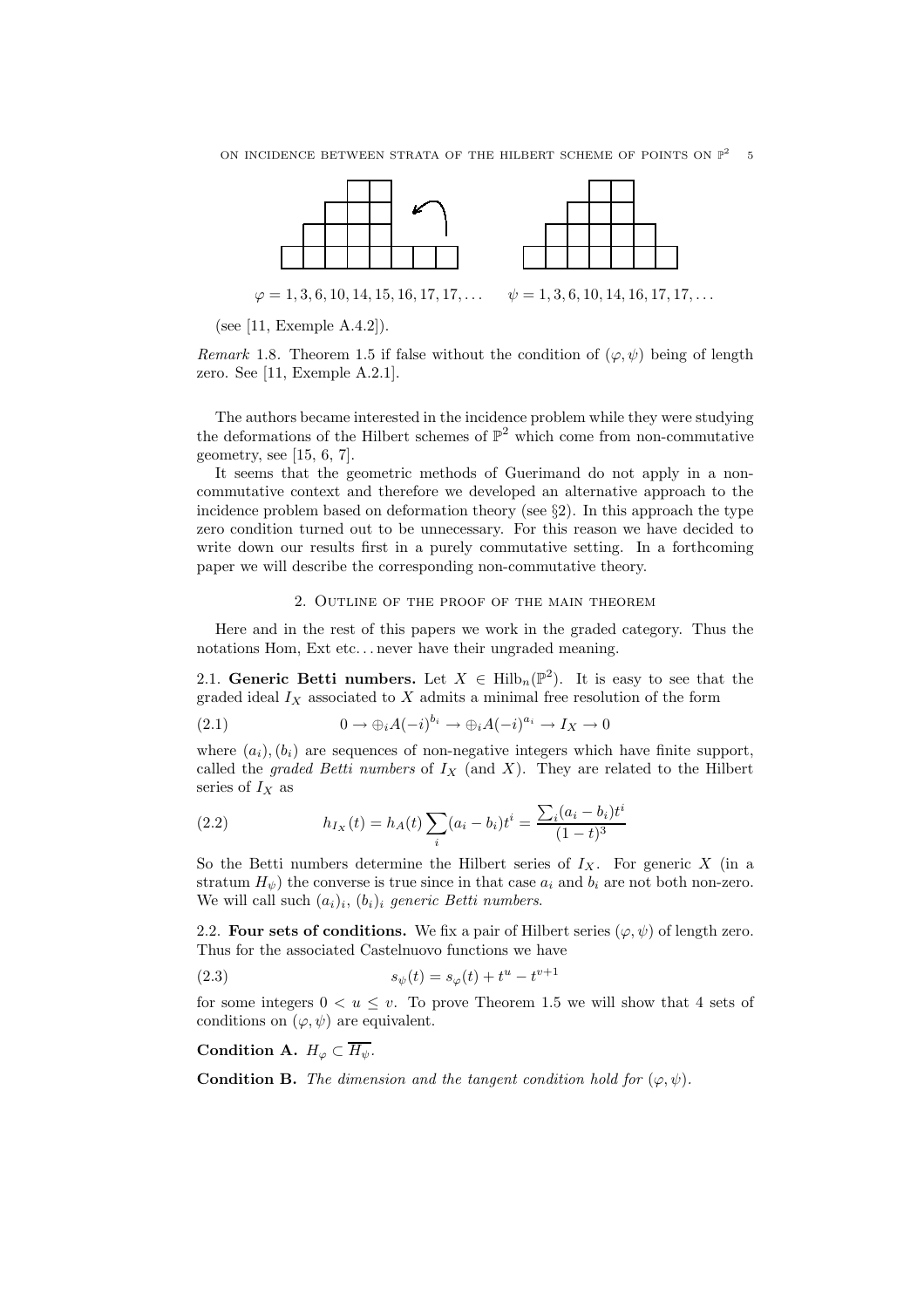

(see [11, Exemple A.4.2]).

Remark 1.8. Theorem 1.5 if false without the condition of  $(\varphi, \psi)$  being of length zero. See [11, Exemple A.2.1].

The authors became interested in the incidence problem while they were studying the deformations of the Hilbert schemes of  $\mathbb{P}^2$  which come from non-commutative geometry, see  $[15, 6, 7]$ .

It seems that the geometric methods of Guerimand do not apply in a noncommutative context and therefore we developed an alternative approach to the incidence problem based on deformation theory (see  $\S$ 2). In this approach the type zero condition turned out to be unnecessary. For this reason we have decided to write down our results first in a purely commutative setting. In a forthcoming paper we will describe the corresponding non-commutative theory.

## 2. Outline of the proof of the main theorem

Here and in the rest of this papers we work in the graded category. Thus the notations Hom, Ext etc. . . never have their ungraded meaning.

2.1. Generic Betti numbers. Let  $X \in \text{Hilb}_n(\mathbb{P}^2)$ . It is easy to see that the graded ideal  $I_X$  associated to  $X$  admits a minimal free resolution of the form

(2.1) 
$$
0 \to \bigoplus_i A(-i)^{b_i} \to \bigoplus_i A(-i)^{a_i} \to I_X \to 0
$$

where  $(a_i)$ ,  $(b_i)$  are sequences of non-negative integers which have finite support, called the graded Betti numbers of  $I_X$  (and X). They are related to the Hilbert series of  $I_X$  as

(2.2) 
$$
h_{I_X}(t) = h_A(t) \sum_i (a_i - b_i)t^i = \frac{\sum_i (a_i - b_i)t^i}{(1 - t)^3}
$$

So the Betti numbers determine the Hilbert series of  $I_X$ . For generic X (in a stratum  $H_{\psi}$ ) the converse is true since in that case  $a_i$  and  $b_i$  are not both non-zero. We will call such  $(a_i)_i$ ,  $(b_i)_i$  generic Betti numbers.

2.2. Four sets of conditions. We fix a pair of Hilbert series  $(\varphi, \psi)$  of length zero. Thus for the associated Castelnuovo functions we have

(2.3) 
$$
s_{\psi}(t) = s_{\varphi}(t) + t^{u} - t^{v+1}
$$

for some integers  $0 \lt u \lt v$ . To prove Theorem 1.5 we will show that 4 sets of conditions on  $(\varphi, \psi)$  are equivalent.

Condition A.  $H_{\varphi} \subset \overline{H_{\psi}}$ .

**Condition B.** The dimension and the tangent condition hold for  $(\varphi, \psi)$ .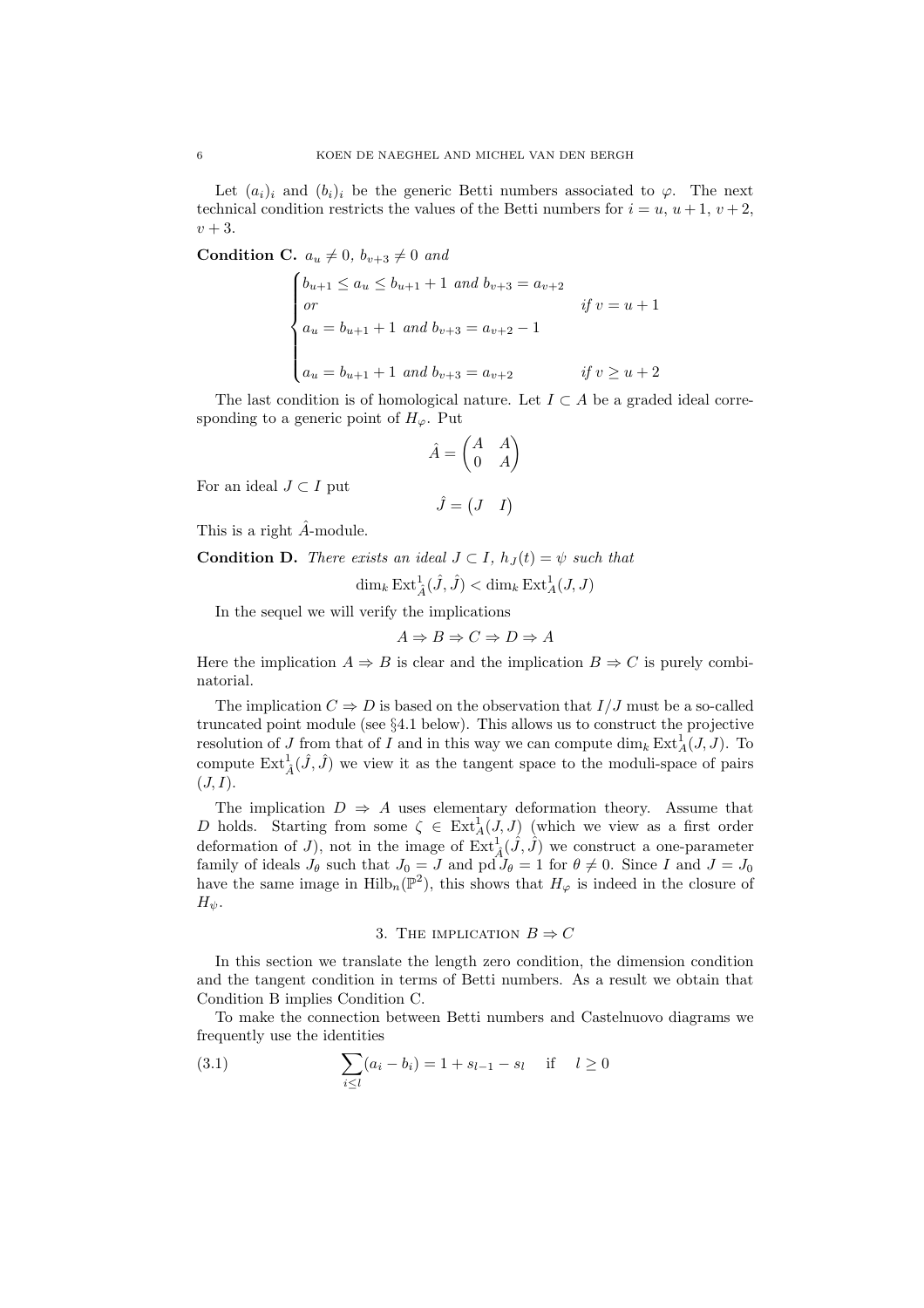Let  $(a_i)_i$  and  $(b_i)_i$  be the generic Betti numbers associated to  $\varphi$ . The next technical condition restricts the values of the Betti numbers for  $i = u, u + 1, v + 2$ ,  $v + 3$ .

Condition C.  $a_u \neq 0$ ,  $b_{v+3} \neq 0$  and

$$
\begin{cases}\nb_{u+1} \le a_u \le b_{u+1} + 1 \text{ and } b_{v+3} = a_{v+2} \\
\text{or} \\
a_u = b_{u+1} + 1 \text{ and } b_{v+3} = a_{v+2} - 1 \\
a_u = b_{u+1} + 1 \text{ and } b_{v+3} = a_{v+2} \text{ if } v \ge u+2\n\end{cases}
$$

The last condition is of homological nature. Let  $I \subset A$  be a graded ideal corresponding to a generic point of  $H_{\varphi}$ . Put

$$
\hat{A} = \begin{pmatrix} A & A \\ 0 & A \end{pmatrix}
$$

For an ideal  $J \subset I$  put

$$
\hat{J} = \begin{pmatrix} J & I \end{pmatrix}
$$

This is a right  $\hat{A}$ -module.

**Condition D.** There exists an ideal  $J \subset I$ ,  $h_J(t) = \psi$  such that

 $\dim_k \text{Ext}^1_{\hat{A}}(\hat{J}, \hat{J}) < \dim_k \text{Ext}^1_A(J, J)$ 

In the sequel we will verify the implications

$$
A \Rightarrow B \Rightarrow C \Rightarrow D \Rightarrow A
$$

Here the implication  $A \Rightarrow B$  is clear and the implication  $B \Rightarrow C$  is purely combinatorial.

The implication  $C \Rightarrow D$  is based on the observation that  $I/J$  must be a so-called truncated point module (see §4.1 below). This allows us to construct the projective resolution of J from that of I and in this way we can compute  $\dim_k \text{Ext}^1_A(J, J)$ . To compute  $\text{Ext}^1_{\hat{A}}(\hat{J}, \hat{J})$  we view it as the tangent space to the moduli-space of pairs  $(J, I).$ 

The implication  $D \Rightarrow A$  uses elementary deformation theory. Assume that D holds. Starting from some  $\zeta \in \text{Ext}^1_A(J, J)$  (which we view as a first order deformation of J), not in the image of  $\text{Ext}_{\hat{A}}(\hat{J},\hat{J})$  we construct a one-parameter family of ideals  $J_{\theta}$  such that  $J_0 = J$  and  $\text{pd } J_{\theta} = 1$  for  $\theta \neq 0$ . Since I and  $J = J_0$ have the same image in  $\text{Hilb}_n(\mathbb{P}^2)$ , this shows that  $H_{\varphi}$  is indeed in the closure of  $H_{\psi}$ .

## 3. THE IMPLICATION  $B \Rightarrow C$

In this section we translate the length zero condition, the dimension condition and the tangent condition in terms of Betti numbers. As a result we obtain that Condition B implies Condition C.

To make the connection between Betti numbers and Castelnuovo diagrams we frequently use the identities

(3.1) 
$$
\sum_{i \le l} (a_i - b_i) = 1 + s_{l-1} - s_l \quad \text{if} \quad l \ge 0
$$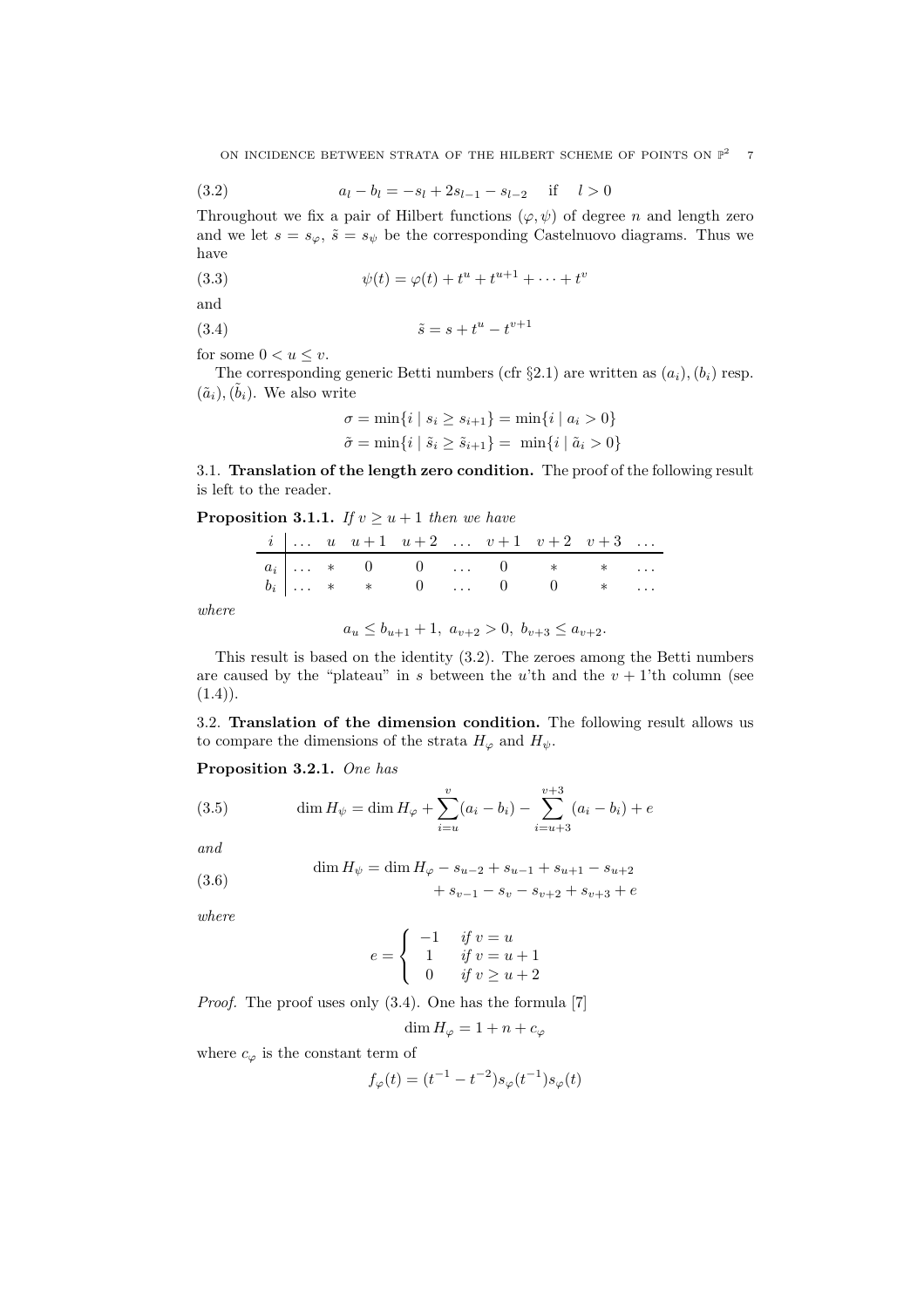ON INCIDENCE BETWEEN STRATA OF THE HILBERT SCHEME OF POINTS ON  $\mathbb{P}^2$ 7

(3.2) 
$$
a_l - b_l = -s_l + 2s_{l-1} - s_{l-2} \quad \text{if} \quad l > 0
$$

Throughout we fix a pair of Hilbert functions  $(\varphi, \psi)$  of degree n and length zero and we let  $s = s_{\varphi}, \tilde{s} = s_{\psi}$  be the corresponding Castelnuovo diagrams. Thus we have

(3.3) 
$$
\psi(t) = \varphi(t) + t^{u} + t^{u+1} + \dots + t^{v}
$$

and

$$
(3.4) \qquad \qquad \tilde{s} = s + t^u - t^{v+1}
$$

for some  $0 < u \leq v$ .

The corresponding generic Betti numbers (cfr  $\S 2.1$ ) are written as  $(a_i), (b_i)$  resp.  $(\tilde{a}_i),(\tilde{b}_i)$ . We also write

$$
\sigma = \min\{i \mid s_i \ge s_{i+1}\} = \min\{i \mid a_i > 0\}
$$

$$
\tilde{\sigma} = \min\{i \mid \tilde{s}_i \ge \tilde{s}_{i+1}\} = \min\{i \mid \tilde{a}_i > 0\}
$$

3.1. Translation of the length zero condition. The proof of the following result is left to the reader.

## **Proposition 3.1.1.** If  $v \ge u + 1$  then we have

|  |  | $\begin{array}{c cccccccccccccccccccccc} i & \ldots & u & u+1 & u+2 & \ldots & v+1 & v+2 & v+3 & \ldots \\ \hline a_i & \ldots & * & 0 & 0 & \ldots & 0 & * & * & \ldots \\ b_i & \ldots & * & * & 0 & \ldots & 0 & 0 & * & \ldots \end{array}$ |  |  |  |
|--|--|-------------------------------------------------------------------------------------------------------------------------------------------------------------------------------------------------------------------------------------------------|--|--|--|

where

$$
a_u \le b_{u+1} + 1, \ a_{v+2} > 0, \ b_{v+3} \le a_{v+2}.
$$

This result is based on the identity (3.2). The zeroes among the Betti numbers are caused by the "plateau" in s between the u'th and the  $v + 1$ 'th column (see  $(1.4)$ .

3.2. Translation of the dimension condition. The following result allows us to compare the dimensions of the strata  $H_{\varphi}$  and  $H_{\psi}$ .

Proposition 3.2.1. One has

(3.5) 
$$
\dim H_{\psi} = \dim H_{\varphi} + \sum_{i=u}^{v} (a_i - b_i) - \sum_{i=u+3}^{v+3} (a_i - b_i) + e
$$

and

(3.6) 
$$
\dim H_{\psi} = \dim H_{\varphi} - s_{u-2} + s_{u-1} + s_{u+1} - s_{u+2}
$$

$$
+s_{v-1}-s_v-s_{v+2}+s_{v+3}+e
$$

where

$$
e = \begin{cases} -1 & \text{if } v = u \\ 1 & \text{if } v = u + 1 \\ 0 & \text{if } v \ge u + 2 \end{cases}
$$

Proof. The proof uses only (3.4). One has the formula [7]

$$
\dim H_{\varphi} = 1 + n + c_{\varphi}
$$

where  $c_{\varphi}$  is the constant term of

$$
f_{\varphi}(t) = (t^{-1} - t^{-2})s_{\varphi}(t^{-1})s_{\varphi}(t)
$$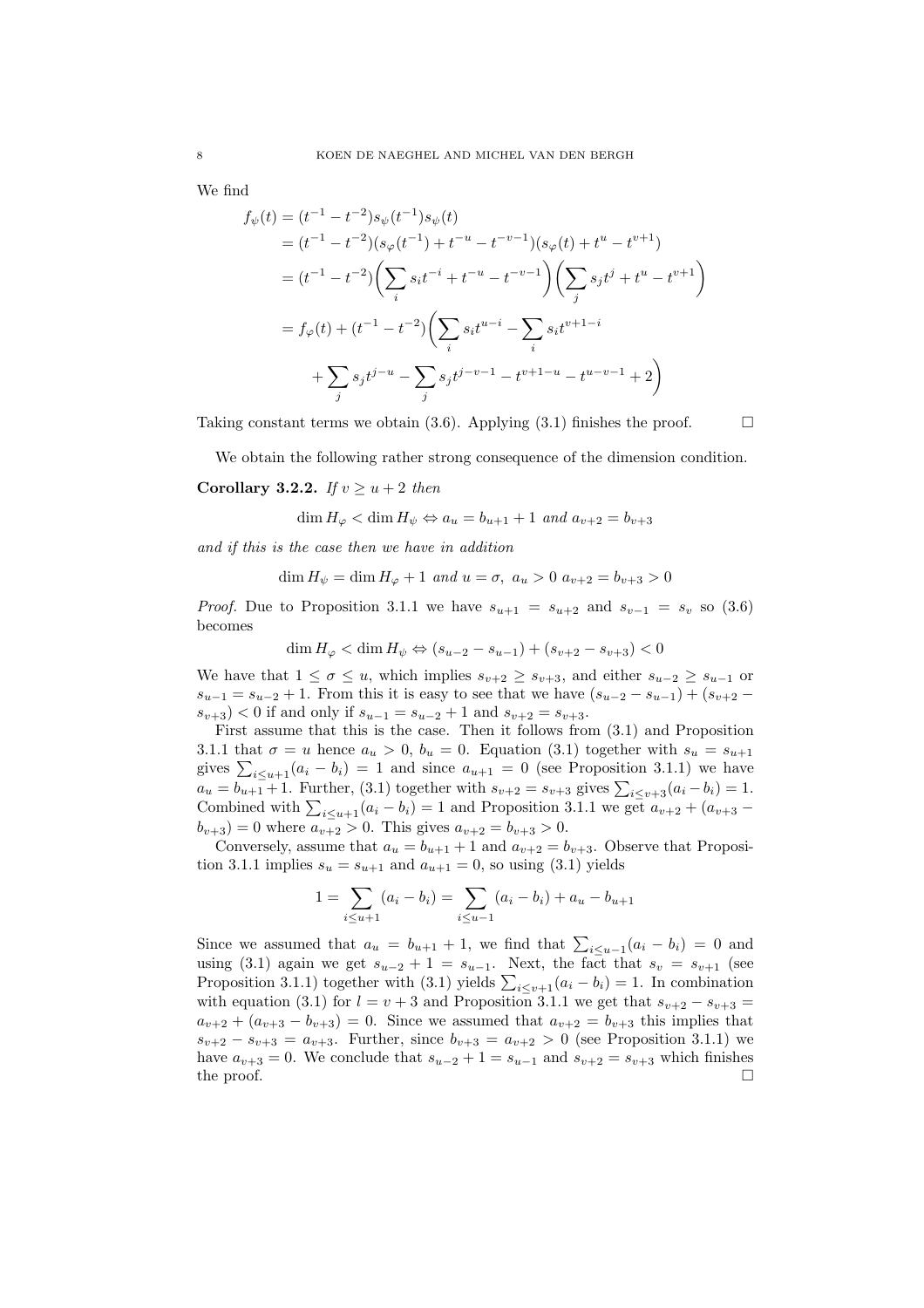We find

$$
f_{\psi}(t) = (t^{-1} - t^{-2})s_{\psi}(t^{-1})s_{\psi}(t)
$$
  
\n
$$
= (t^{-1} - t^{-2})(s_{\varphi}(t^{-1}) + t^{-u} - t^{-v-1})(s_{\varphi}(t) + t^{u} - t^{v+1})
$$
  
\n
$$
= (t^{-1} - t^{-2})\left(\sum_{i} s_{i}t^{-i} + t^{-u} - t^{-v-1}\right)\left(\sum_{j} s_{j}t^{j} + t^{u} - t^{v+1}\right)
$$
  
\n
$$
= f_{\varphi}(t) + (t^{-1} - t^{-2})\left(\sum_{i} s_{i}t^{u-i} - \sum_{i} s_{i}t^{v+1-i}\right)
$$
  
\n
$$
+ \sum_{j} s_{j}t^{j-u} - \sum_{j} s_{j}t^{j-v-1} - t^{v+1-u} - t^{u-v-1} + 2\right)
$$

Taking constant terms we obtain (3.6). Applying (3.1) finishes the proof.  $\Box$ 

We obtain the following rather strong consequence of the dimension condition.

Corollary 3.2.2. If  $v \ge u + 2$  then

$$
\dim H_{\varphi} < \dim H_{\psi} \Leftrightarrow a_u = b_{u+1} + 1 \text{ and } a_{v+2} = b_{v+3}
$$

and if this is the case then we have in addition

$$
\dim H_{\psi} = \dim H_{\varphi} + 1 \text{ and } u = \sigma, \ a_u > 0 \ a_{v+2} = b_{v+3} > 0
$$

*Proof.* Due to Proposition 3.1.1 we have  $s_{u+1} = s_{u+2}$  and  $s_{v-1} = s_v$  so (3.6) becomes

$$
\dim H_{\varphi} < \dim H_{\psi} \Leftrightarrow (s_{u-2} - s_{u-1}) + (s_{v+2} - s_{v+3}) < 0
$$

We have that  $1 \leq \sigma \leq u$ , which implies  $s_{v+2} \geq s_{v+3}$ , and either  $s_{u-2} \geq s_{u-1}$  or  $s_{u-1} = s_{u-2} + 1$ . From this it is easy to see that we have  $(s_{u-2} - s_{u-1}) + (s_{v+2} - s_{v-1})$  $s_{v+3}$  < 0 if and only if  $s_{u-1} = s_{u-2} + 1$  and  $s_{v+2} = s_{v+3}$ .

First assume that this is the case. Then it follows from (3.1) and Proposition 3.1.1 that  $\sigma = u$  hence  $a_u > 0$ ,  $b_u = 0$ . Equation (3.1) together with  $s_u = s_{u+1}$ gives  $\sum_{i \leq u+1}(a_i - b_i) = 1$  and since  $a_{u+1} = 0$  (see Proposition 3.1.1) we have  $a_u = b_{u+1} + 1$ . Further, (3.1) together with  $s_{v+2} = s_{v+3}$  gives  $\sum_{i \le v+3} (a_i - b_i) = 1$ . Combined with  $\sum_{i \leq u+1} (a_i - b_i) = 1$  and Proposition 3.1.1 we get  $a_{v+2} + (a_{v+3} - b_i)$  $b_{v+3}$  = 0 where  $a_{v+2} > 0$ . This gives  $a_{v+2} = b_{v+3} > 0$ .

Conversely, assume that  $a_u = b_{u+1} + 1$  and  $a_{v+2} = b_{v+3}$ . Observe that Proposition 3.1.1 implies  $s_u = s_{u+1}$  and  $a_{u+1} = 0$ , so using (3.1) yields

$$
1 = \sum_{i \le u+1} (a_i - b_i) = \sum_{i \le u-1} (a_i - b_i) + a_u - b_{u+1}
$$

Since we assumed that  $a_u = b_{u+1} + 1$ , we find that  $\sum_{i \leq u-1} (a_i - b_i) = 0$  and using (3.1) again we get  $s_{u-2} + 1 = s_{u-1}$ . Next, the fact that  $s_v = s_{v+1}$  (see Proposition 3.1.1) together with (3.1) yields  $\sum_{i \leq v+1} (a_i - b_i) = 1$ . In combination with equation (3.1) for  $l = v + 3$  and Proposition 3.1.1 we get that  $s_{v+2} - s_{v+3} =$  $a_{v+2} + (a_{v+3} - b_{v+3}) = 0$ . Since we assumed that  $a_{v+2} = b_{v+3}$  this implies that  $s_{v+2} - s_{v+3} = a_{v+3}$ . Further, since  $b_{v+3} = a_{v+2} > 0$  (see Proposition 3.1.1) we have  $a_{v+3} = 0$ . We conclude that  $s_{u-2} + 1 = s_{u-1}$  and  $s_{v+2} = s_{v+3}$  which finishes the proof.  $\Box$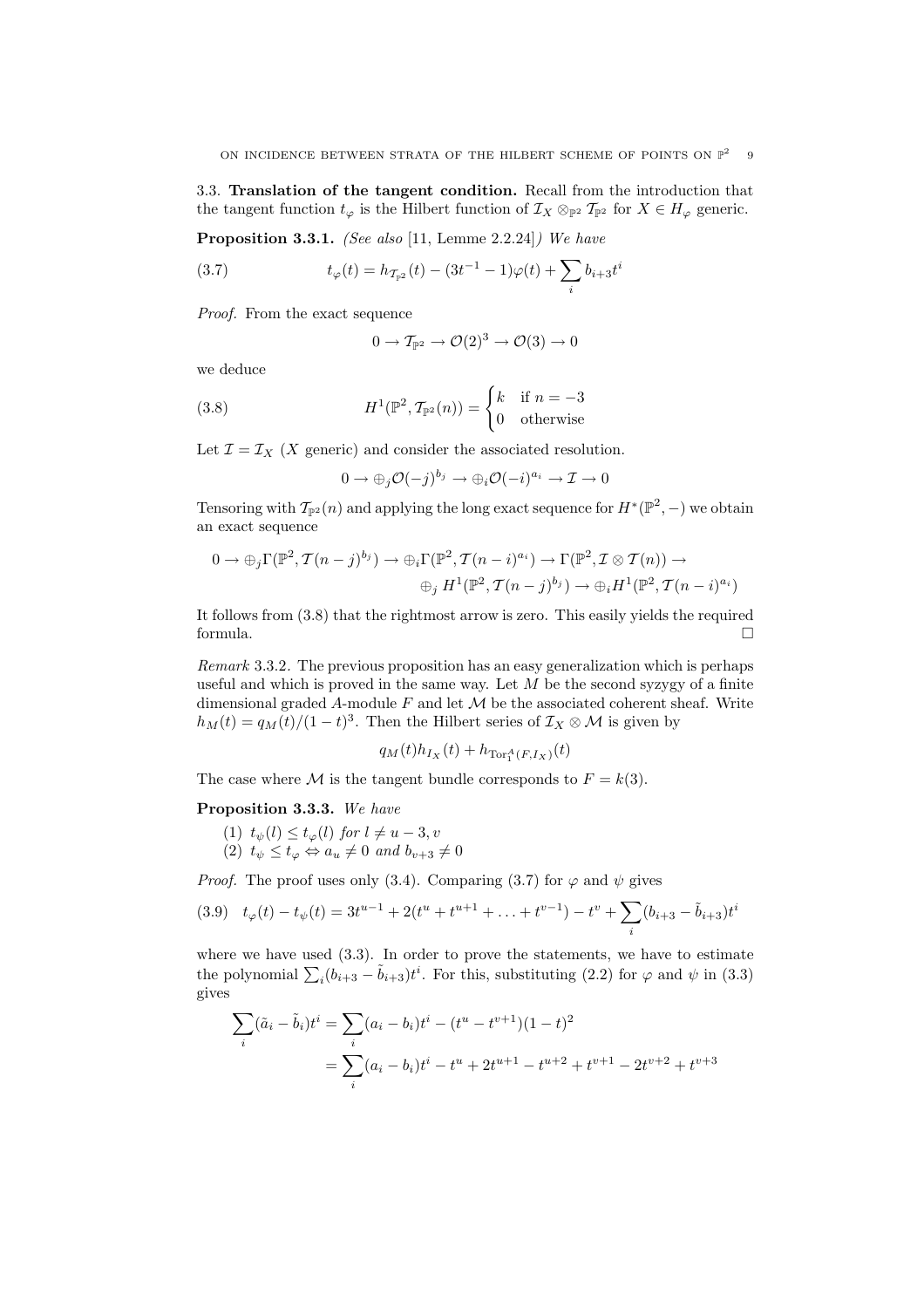3.3. Translation of the tangent condition. Recall from the introduction that the tangent function  $t_{\varphi}$  is the Hilbert function of  $\mathcal{I}_X \otimes_{\mathbb{P}^2} \mathcal{I}_{\mathbb{P}^2}$  for  $X \in H_{\varphi}$  generic.

**Proposition 3.3.1.** (See also [11, Lemme 2.2.24]) We have

(3.7) 
$$
t_{\varphi}(t) = h_{\mathcal{T}_{\mathbb{P}^2}}(t) - (3t^{-1} - 1)\varphi(t) + \sum_i b_{i+3}t^i
$$

Proof. From the exact sequence

$$
0 \to \mathcal{T}_{\mathbb{P}^2} \to \mathcal{O}(2)^3 \to \mathcal{O}(3) \to 0
$$

we deduce

(3.8) 
$$
H^{1}(\mathbb{P}^{2}, \mathcal{T}_{\mathbb{P}^{2}}(n)) = \begin{cases} k & \text{if } n = -3\\ 0 & \text{otherwise} \end{cases}
$$

Let  $\mathcal{I} = \mathcal{I}_X$  (X generic) and consider the associated resolution.

$$
0\to \oplus_j {\mathcal O}(-j)^{b_j}\to \oplus_i {\mathcal O}(-i)^{a_i}\to {\mathcal I}\to 0
$$

Tensoring with  $\mathcal{T}_{\mathbb{P}^2}(n)$  and applying the long exact sequence for  $H^*(\mathbb{P}^2, -)$  we obtain an exact sequence

$$
0 \to \bigoplus_j \Gamma(\mathbb{P}^2, \mathcal{T}(n-j)^{b_j}) \to \bigoplus_i \Gamma(\mathbb{P}^2, \mathcal{T}(n-i)^{a_i}) \to \Gamma(\mathbb{P}^2, \mathcal{I} \otimes \mathcal{T}(n)) \to
$$
  

$$
\bigoplus_j H^1(\mathbb{P}^2, \mathcal{T}(n-j)^{b_j}) \to \bigoplus_i H^1(\mathbb{P}^2, \mathcal{T}(n-i)^{a_i})
$$

It follows from (3.8) that the rightmost arrow is zero. This easily yields the required formula.

Remark 3.3.2. The previous proposition has an easy generalization which is perhaps useful and which is proved in the same way. Let  $M$  be the second syzygy of a finite dimensional graded  $A$ -module  $F$  and let  $M$  be the associated coherent sheaf. Write  $h_M(t) = q_M(t)/(1-t)^3$ . Then the Hilbert series of  $\mathcal{I}_X \otimes \mathcal{M}$  is given by

$$
q_M(t)h_{I_X}(t) + h_{\text{Tor}_1^A(F,I_X)}(t)
$$

The case where M is the tangent bundle corresponds to  $F = k(3)$ .

## Proposition 3.3.3. We have

(1)  $t_{\psi}(l) \leq t_{\varphi}(l)$  for  $l \neq u-3, v$ (2)  $t_{\psi} \leq t_{\varphi} \Leftrightarrow a_u \neq 0$  and  $b_{v+3} \neq 0$ 

*Proof.* The proof uses only (3.4). Comparing (3.7) for  $\varphi$  and  $\psi$  gives

$$
(3.9) \t t_{\varphi}(t) - t_{\psi}(t) = 3t^{u-1} + 2(t^u + t^{u+1} + \dots + t^{v-1}) - t^v + \sum_{i} (b_{i+3} - \tilde{b}_{i+3})t^i
$$

where we have used  $(3.3)$ . In order to prove the statements, we have to estimate the polynomial  $\sum_i (b_{i+3} - \tilde{b}_{i+3})t^i$ . For this, substituting (2.2) for  $\varphi$  and  $\psi$  in (3.3) gives

$$
\sum_{i} (\tilde{a}_{i} - \tilde{b}_{i}) t^{i} = \sum_{i} (a_{i} - b_{i}) t^{i} - (t^{u} - t^{v+1}) (1 - t)^{2}
$$

$$
= \sum_{i} (a_{i} - b_{i}) t^{i} - t^{u} + 2t^{u+1} - t^{u+2} + t^{v+1} - 2t^{v+2} + t^{v+3}
$$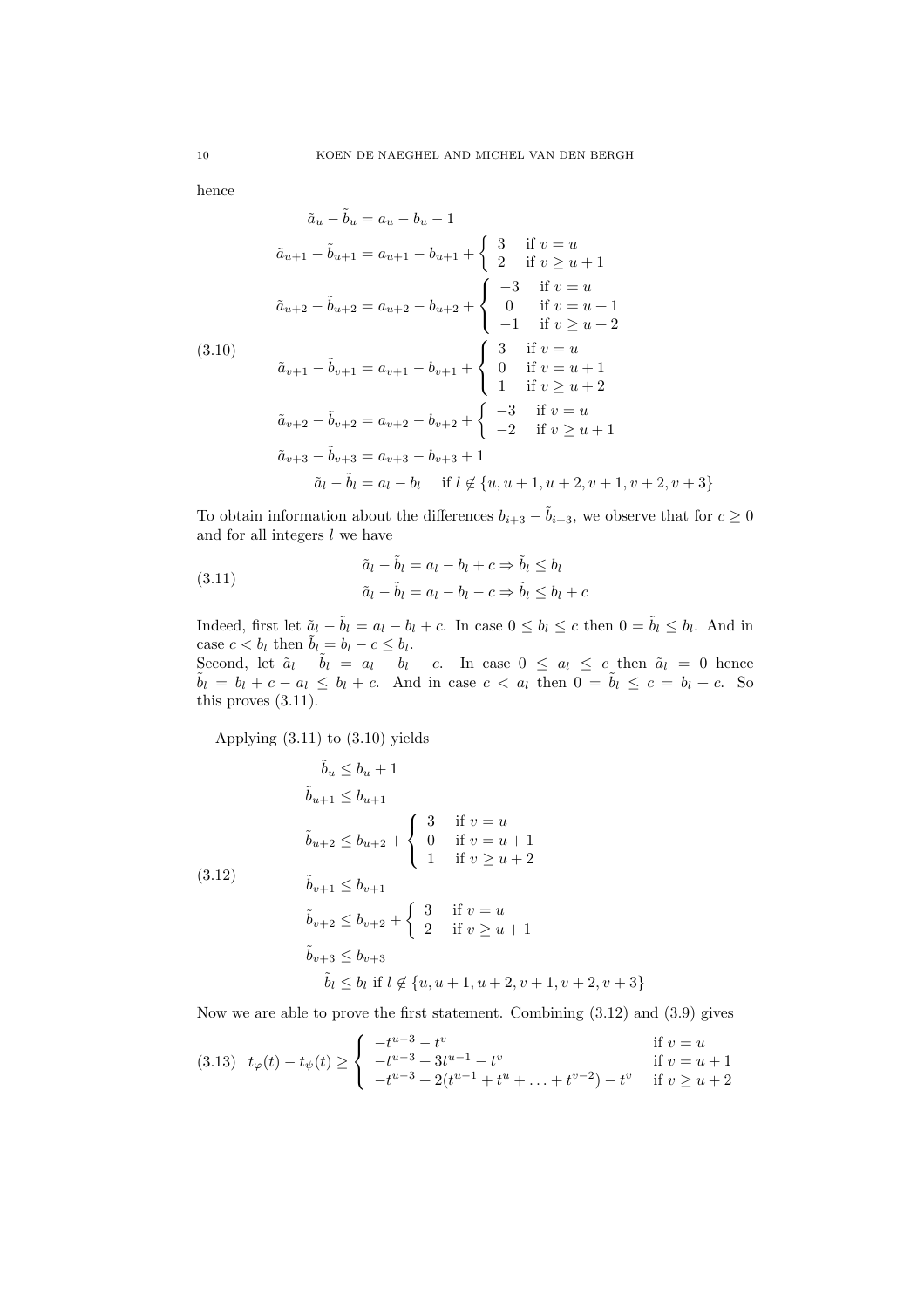hence

$$
\tilde{a}_u - \tilde{b}_u = a_u - b_u - 1
$$
\n
$$
\tilde{a}_{u+1} - \tilde{b}_{u+1} = a_{u+1} - b_{u+1} + \begin{cases}\n3 & \text{if } v = u \\
2 & \text{if } v \ge u + 1\n\end{cases}
$$
\n
$$
\tilde{a}_{u+2} - \tilde{b}_{u+2} = a_{u+2} - b_{u+2} + \begin{cases}\n-3 & \text{if } v = u \\
0 & \text{if } v = u + 1 \\
-1 & \text{if } v \ge u + 2\n\end{cases}
$$
\n(3.10)\n
$$
\tilde{a}_{v+1} - \tilde{b}_{v+1} = a_{v+1} - b_{v+1} + \begin{cases}\n3 & \text{if } v = u \\
0 & \text{if } v = u + 1 \\
1 & \text{if } v \ge u + 2\n\end{cases}
$$
\n
$$
\tilde{a}_{v+2} - \tilde{b}_{v+2} = a_{v+2} - b_{v+2} + \begin{cases}\n-3 & \text{if } v = u \\
-2 & \text{if } v \ge u + 1\n\end{cases}
$$
\n
$$
\tilde{a}_{v+3} - \tilde{b}_{v+3} = a_{v+3} - b_{v+3} + 1
$$
\n
$$
\tilde{a}_l - \tilde{b}_l = a_l - b_l \quad \text{if } l \notin \{u, u + 1, u + 2, v + 1, v + 2, v + 3\}
$$

To obtain information about the differences  $b_{i+3} - \tilde{b}_{i+3}$ , we observe that for  $c \ge 0$ and for all integers  $l$  we have

(3.11) 
$$
\begin{aligned}\n\tilde{a}_l - \tilde{b}_l &= a_l - b_l + c \Rightarrow \tilde{b}_l \le b_l \\
\tilde{a}_l - \tilde{b}_l &= a_l - b_l - c \Rightarrow \tilde{b}_l \le b_l + c\n\end{aligned}
$$

Indeed, first let  $\tilde{a}_l - \tilde{b}_l = a_l - b_l + c$ . In case  $0 \leq b_l \leq c$  then  $0 = \tilde{b}_l \leq b_l$ . And in case  $c < b_l$  then  $\tilde{b}_l = b_l - c \leq b_l$ . Second, let  $\tilde{a}_l - \tilde{b}_l = a_l - b_l - c$ . In case  $0 \le a_l \le c$  then  $\tilde{a}_l = 0$  hence  $\tilde{b}_l = b_l + c - a_l \leq b_l + c$ . And in case  $c < a_l$  then  $0 = \tilde{b}_l \leq c = b_l + c$ . So this proves (3.11).

Applying (3.11) to (3.10) yields

$$
\tilde{b}_{u} \leq b_{u} + 1
$$
\n
$$
\tilde{b}_{u+1} \leq b_{u+1}
$$
\n
$$
\tilde{b}_{u+2} \leq b_{u+2} + \begin{cases}\n3 & \text{if } v = u \\
0 & \text{if } v = u + 1 \\
1 & \text{if } v \geq u + 2\n\end{cases}
$$
\n(3.12)\n
$$
\tilde{b}_{v+1} \leq b_{v+1}
$$
\n
$$
\tilde{b}_{v+2} \leq b_{v+2} + \begin{cases}\n3 & \text{if } v = u \\
2 & \text{if } v \geq u + 1\n\end{cases}
$$
\n
$$
\tilde{b}_{v+3} \leq b_{v+3}
$$
\n
$$
\tilde{b}_{l} \leq b_{l} \text{ if } l \notin \{u, u + 1, u + 2, v + 1, v + 2, v + 3\}
$$

Now we are able to prove the first statement. Combining (3.12) and (3.9) gives

$$
(3.13) \t t_{\varphi}(t) - t_{\psi}(t) \ge \begin{cases} -t^{u-3} - t^v & \text{if } v = u \\ -t^{u-3} + 3t^{u-1} - t^v & \text{if } v = u+1 \\ -t^{u-3} + 2(t^{u-1} + t^u + \dots + t^{v-2}) - t^v & \text{if } v \ge u+2 \end{cases}
$$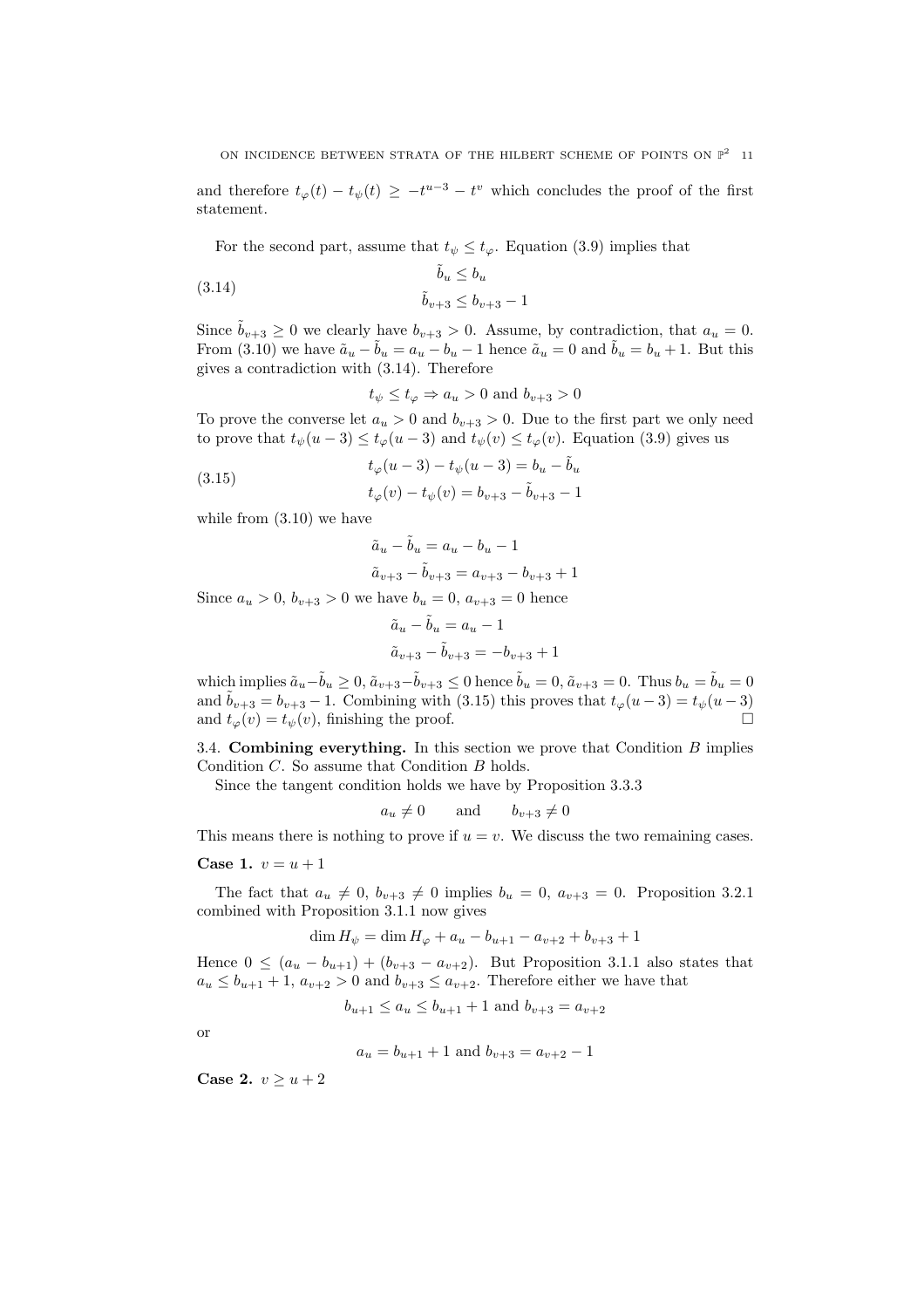and therefore  $t_{\varphi}(t) - t_{\psi}(t) \geq -t^{u-3} - t^v$  which concludes the proof of the first statement.

For the second part, assume that  $t_{\psi} \leq t_{\varphi}$ . Equation (3.9) implies that

(3.14) 
$$
\tilde{b}_u \leq b_u
$$

$$
\tilde{b}_{v+3} \leq b_{v+3} - 1
$$

Since  $\tilde{b}_{v+3} \geq 0$  we clearly have  $b_{v+3} > 0$ . Assume, by contradiction, that  $a_u = 0$ . From (3.10) we have  $\tilde{a}_u - \tilde{b}_u = a_u - b_u - 1$  hence  $\tilde{a}_u = 0$  and  $\tilde{b}_u = b_u + 1$ . But this gives a contradiction with (3.14). Therefore

$$
t_{\psi} \le t_{\varphi} \Rightarrow a_u > 0 \text{ and } b_{v+3} > 0
$$

To prove the converse let  $a_u > 0$  and  $b_{v+3} > 0$ . Due to the first part we only need to prove that  $t_{\psi}(u-3) \leq t_{\varphi}(u-3)$  and  $t_{\psi}(v) \leq t_{\varphi}(v)$ . Equation (3.9) gives us

(3.15) 
$$
t_{\varphi}(u-3) - t_{\psi}(u-3) = b_u - \tilde{b}_u
$$

$$
t_{\varphi}(v) - t_{\psi}(v) = b_{v+3} - \tilde{b}_{v+3} - 1
$$

while from (3.10) we have

$$
\tilde{a}_u - \tilde{b}_u = a_u - b_u - 1
$$
  

$$
\tilde{a}_{v+3} - \tilde{b}_{v+3} = a_{v+3} - b_{v+3} + 1
$$

Since  $a_u > 0$ ,  $b_{v+3} > 0$  we have  $b_u = 0$ ,  $a_{v+3} = 0$  hence

$$
\tilde{a}_u - \tilde{b}_u = a_u - 1
$$
  

$$
\tilde{a}_{v+3} - \tilde{b}_{v+3} = -b_{v+3} + 1
$$

which implies  $\tilde{a}_u - \tilde{b}_u \ge 0$ ,  $\tilde{a}_{v+3} - \tilde{b}_{v+3} \le 0$  hence  $\tilde{b}_u = 0$ ,  $\tilde{a}_{v+3} = 0$ . Thus  $b_u = \tilde{b}_u = 0$ and  $b_{v+3} = b_{v+3} - 1$ . Combining with (3.15) this proves that  $t_{\varphi}(u-3) = t_{\psi}(u-3)$ and  $t_{\varphi}(v) = t_{\psi}(v)$ , finishing the proof.

3.4. Combining everything. In this section we prove that Condition  $B$  implies Condition C. So assume that Condition B holds.

Since the tangent condition holds we have by Proposition 3.3.3

$$
a_u \neq 0 \qquad \text{and} \qquad b_{v+3} \neq 0
$$

This means there is nothing to prove if  $u = v$ . We discuss the two remaining cases.

**Case 1.**  $v = u + 1$ 

The fact that  $a_u \neq 0$ ,  $b_{v+3} \neq 0$  implies  $b_u = 0$ ,  $a_{v+3} = 0$ . Proposition 3.2.1 combined with Proposition 3.1.1 now gives

$$
\dim H_{\psi} = \dim H_{\varphi} + a_u - b_{u+1} - a_{v+2} + b_{v+3} + 1
$$

Hence  $0 \leq (a_u - b_{u+1}) + (b_{v+3} - a_{v+2})$ . But Proposition 3.1.1 also states that  $a_u \leq b_{u+1} + 1$ ,  $a_{v+2} > 0$  and  $b_{v+3} \leq a_{v+2}$ . Therefore either we have that

 $b_{u+1} \le a_u \le b_{u+1} + 1$  and  $b_{v+3} = a_{v+2}$ 

or

$$
a_u = b_{u+1} + 1
$$
 and  $b_{v+3} = a_{v+2} - 1$ 

Case 2.  $v \geq u+2$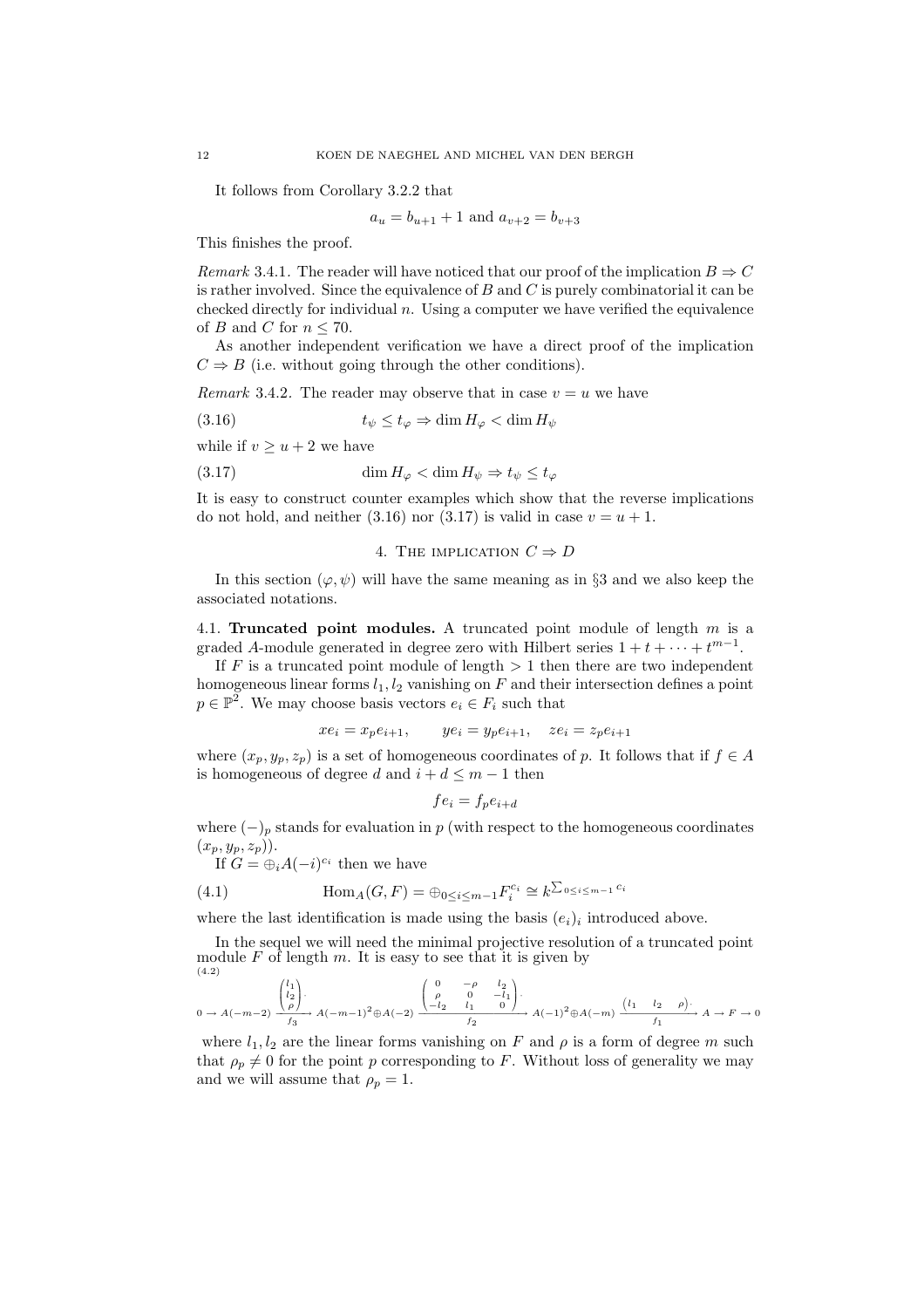It follows from Corollary 3.2.2 that

$$
a_u = b_{u+1} + 1
$$
 and  $a_{v+2} = b_{v+3}$ 

This finishes the proof.

Remark 3.4.1. The reader will have noticed that our proof of the implication  $B \Rightarrow C$ is rather involved. Since the equivalence of  $B$  and  $C$  is purely combinatorial it can be checked directly for individual  $n$ . Using a computer we have verified the equivalence of B and C for  $n \leq 70$ .

As another independent verification we have a direct proof of the implication  $C \Rightarrow B$  (i.e. without going through the other conditions).

Remark 3.4.2. The reader may observe that in case  $v = u$  we have

$$
(3.16) \t t_{\psi} \le t_{\varphi} \Rightarrow \dim H_{\varphi} < \dim H_{\psi}
$$

while if  $v > u + 2$  we have

(3.17) 
$$
\dim H_{\varphi} < \dim H_{\psi} \Rightarrow t_{\psi} \leq t_{\varphi}
$$

It is easy to construct counter examples which show that the reverse implications do not hold, and neither (3.16) nor (3.17) is valid in case  $v = u + 1$ .

## 4. THE IMPLICATION  $C \Rightarrow D$

In this section  $(\varphi, \psi)$  will have the same meaning as in §3 and we also keep the associated notations.

4.1. Truncated point modules. A truncated point module of length  $m$  is a graded A-module generated in degree zero with Hilbert series  $1 + t + \cdots + t^{m-1}$ .

If F is a truncated point module of length  $> 1$  then there are two independent homogeneous linear forms  $l_1, l_2$  vanishing on  $F$  and their intersection defines a point  $p \in \mathbb{P}^2$ . We may choose basis vectors  $e_i \in F_i$  such that

$$
xe_i = x_p e_{i+1}, \qquad ye_i = y_p e_{i+1}, \quad ze_i = z_p e_{i+1}
$$

where  $(x_p, y_p, z_p)$  is a set of homogeneous coordinates of p. It follows that if  $f \in A$ is homogeneous of degree d and  $i + d \leq m - 1$  then

$$
fe_i = f_p e_{i+d}
$$

where  $(-)$ <sub>p</sub> stands for evaluation in p (with respect to the homogeneous coordinates  $(x_p, y_p, z_p)$ .

If  $G = \bigoplus_i A(-i)^{c_i}$  then we have

(4.1) 
$$
\text{Hom}_{A}(G, F) = \bigoplus_{0 \leq i \leq m-1} F_{i}^{c_{i}} \cong k^{\sum_{0 \leq i \leq m-1} c_{i}}
$$

where the last identification is made using the basis  $(e_i)_i$  introduced above.

In the sequel we will need the minimal projective resolution of a truncated point module  $F$  of length  $m$ . It is easy to see that it is given by (4.2)

$$
0 \to A(-m-2) \xrightarrow{\begin{pmatrix} l_1 \\ l_2 \\ \rho \end{pmatrix}} A(-m-1)^2 \oplus A(-2) \xrightarrow{\begin{pmatrix} 0 & -\rho & l_2 \\ \rho & 0 & -l_1 \\ -l_2 & l_1 & 0 \end{pmatrix}} A(-1)^2 \oplus A(-m) \xrightarrow{\begin{pmatrix} l_1 & l_2 & \rho \end{pmatrix}} A \to F \to 0
$$

where  $l_1, l_2$  are the linear forms vanishing on F and  $\rho$  is a form of degree m such that  $\rho_p \neq 0$  for the point p corresponding to F. Without loss of generality we may and we will assume that  $\rho_n = 1$ .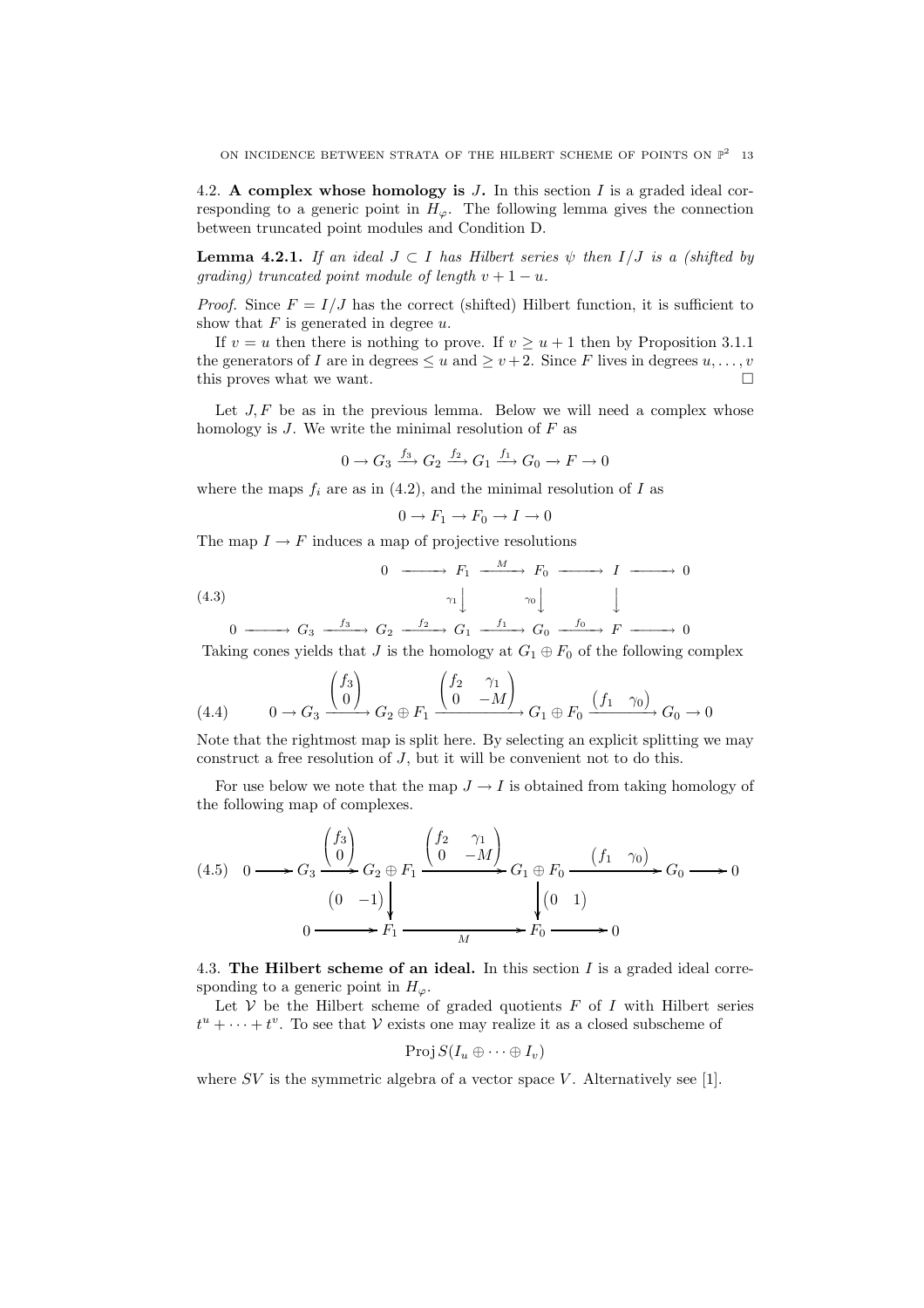4.2. A complex whose homology is  $J$ . In this section I is a graded ideal corresponding to a generic point in  $H_{\varphi}$ . The following lemma gives the connection between truncated point modules and Condition D.

**Lemma 4.2.1.** If an ideal  $J \subset I$  has Hilbert series  $\psi$  then  $I/J$  is a (shifted by  $gradient$ ) truncated point module of length  $v + 1 - u$ .

*Proof.* Since  $F = I/J$  has the correct (shifted) Hilbert function, it is sufficient to show that  $F$  is generated in degree  $u$ .

If  $v = u$  then there is nothing to prove. If  $v \ge u + 1$  then by Proposition 3.1.1 the generators of I are in degrees  $\leq u$  and  $\geq v+2$ . Since F lives in degrees  $u, \ldots, v$ this proves what we want.  $\square$ 

Let  $J, F$  be as in the previous lemma. Below we will need a complex whose homology is  $J$ . We write the minimal resolution of  $F$  as

$$
0 \to G_3 \xrightarrow{f_3} G_2 \xrightarrow{f_2} G_1 \xrightarrow{f_1} G_0 \to F \to 0
$$

where the maps  $f_i$  are as in (4.2), and the minimal resolution of I as

$$
0 \to F_1 \to F_0 \to I \to 0
$$

The map  $I \to F$  induces a map of projective resolutions

0 −−−−−→ F<sup>1</sup> <sup>M</sup> −−−−−→ F<sup>0</sup> −−−−−→ I −−−−−→ 0 γ1 <sup>y</sup> <sup>γ</sup><sup>0</sup> y y 0 −−−−−→ G<sup>3</sup> <sup>f</sup><sup>3</sup> −−−−−→ G<sup>2</sup> <sup>f</sup><sup>2</sup> −−−−−→ G<sup>1</sup> <sup>f</sup><sup>1</sup> −−−−−→ G<sup>0</sup> <sup>f</sup><sup>0</sup> −−−−−→ F −−−−−→ 0 (4.3)

Taking cones yields that J is the homology at  $G_1 \oplus F_0$  of the following complex

(4.4) 
$$
0 \to G_3 \xrightarrow{\begin{pmatrix} f_3 \\ 0 \end{pmatrix}} G_2 \oplus F_1 \xrightarrow{\begin{pmatrix} f_2 & \gamma_1 \\ 0 & -M \end{pmatrix}} G_1 \oplus F_0 \xrightarrow{\begin{pmatrix} f_1 & \gamma_0 \end{pmatrix}} G_0 \to 0
$$

Note that the rightmost map is split here. By selecting an explicit splitting we may construct a free resolution of J, but it will be convenient not to do this.

For use below we note that the map  $J \to I$  is obtained from taking homology of the following map of complexes.

$$
(4.5) \quad 0 \longrightarrow G_3 \xrightarrow{\begin{pmatrix} f_3 \\ 0 \end{pmatrix}} G_2 \oplus F_1 \xrightarrow{\begin{pmatrix} f_2 & \gamma_1 \\ 0 & -M \end{pmatrix}} G_1 \oplus F_0 \xrightarrow{\begin{pmatrix} f_1 & \gamma_0 \end{pmatrix}} G_0 \longrightarrow 0
$$

$$
(0 \quad -1) \downarrow \qquad \qquad \downarrow \qquad (0 \quad 1)
$$

$$
0 \longrightarrow F_1 \xrightarrow{\begin{array}{c} M \\ M \end{array}} F_0 \longrightarrow F_0 \longrightarrow 0
$$

4.3. The Hilbert scheme of an ideal. In this section  $I$  is a graded ideal corresponding to a generic point in  $H_{\varphi}$ .

Let  $V$  be the Hilbert scheme of graded quotients  $F$  of  $I$  with Hilbert series  $t^u + \cdots + t^v$ . To see that V exists one may realize it as a closed subscheme of

$$
\operatorname{Proj} S(I_u \oplus \cdots \oplus I_v)
$$

where  $SV$  is the symmetric algebra of a vector space V. Alternatively see [1].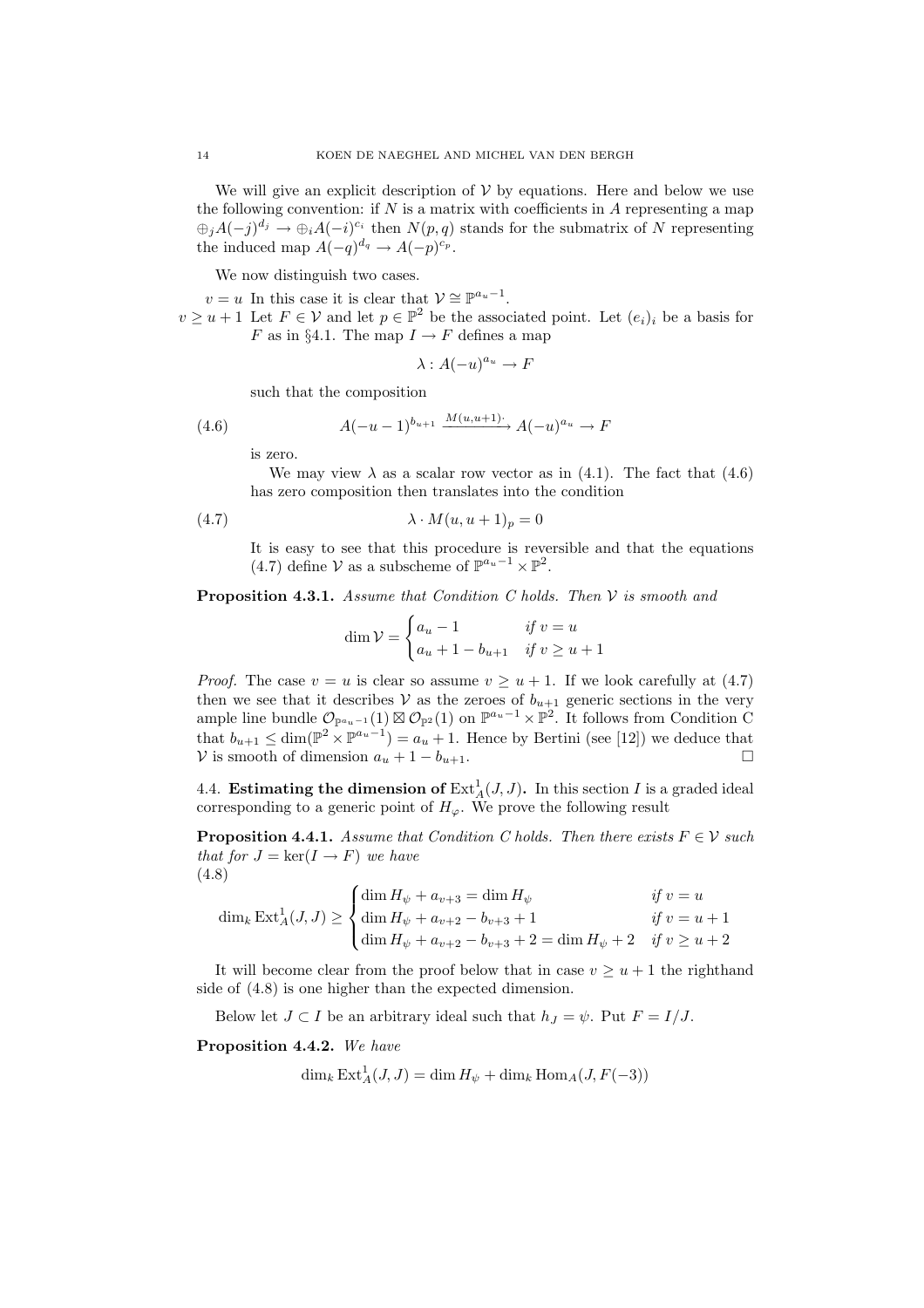We will give an explicit description of  $V$  by equations. Here and below we use the following convention: if  $N$  is a matrix with coefficients in  $A$  representing a map  $\oplus_j A(-j)^{d_j} \to \oplus_i A(-i)^{c_i}$  then  $N(p, q)$  stands for the submatrix of N representing the induced map  $A(-q)^{d_q} \to A(-p)^{c_p}$ .

We now distinguish two cases.

 $v = u$  In this case it is clear that  $\mathcal{V} \cong \mathbb{P}^{a_u - 1}$ .  $v \geq u+1$  Let  $F \in V$  and let  $p \in \mathbb{P}^2$  be the associated point. Let  $(e_i)_i$  be a basis for

F as in §4.1. The map  $I \to F$  defines a map

$$
\lambda: A(-u)^{a_u} \to F
$$

such that the composition

$$
(4.6) \qquad \qquad A(-u-1)^{b_{u+1}} \xrightarrow{M(u,u+1)} A(-u)^{a_u} \to F
$$

is zero.

We may view  $\lambda$  as a scalar row vector as in (4.1). The fact that (4.6) has zero composition then translates into the condition

$$
(4.7) \qquad \lambda \cdot M(u, u+1)_p = 0
$$

It is easy to see that this procedure is reversible and that the equations (4.7) define  $V$  as a subscheme of  $\mathbb{P}^{a_u-1} \times \mathbb{P}^2$ .

**Proposition 4.3.1.** Assume that Condition C holds. Then  $V$  is smooth and

$$
\dim \mathcal{V} = \begin{cases} a_u - 1 & \text{if } v = u \\ a_u + 1 - b_{u+1} & \text{if } v \ge u + 1 \end{cases}
$$

*Proof.* The case  $v = u$  is clear so assume  $v \ge u + 1$ . If we look carefully at (4.7) then we see that it describes  $V$  as the zeroes of  $b_{u+1}$  generic sections in the very ample line bundle  $\mathcal{O}_{\mathbb{P}^{a_u-1}}(1) \boxtimes \mathcal{O}_{\mathbb{P}^2}(1)$  on  $\mathbb{P}^{a_u-1} \times \mathbb{P}^2$ . It follows from Condition C that  $b_{u+1} \leq \dim(\mathbb{P}^2 \times \mathbb{P}^{a_u-1}) = a_u + 1$ . Hence by Bertini (see [12]) we deduce that V is smooth of dimension  $a_u + 1 - b_{u+1}$ .

4.4. **Estimating the dimension of**  $\text{Ext}_{A}^{1}(J, J)$ . In this section *I* is a graded ideal corresponding to a generic point of  $H_{\varphi}$ . We prove the following result

**Proposition 4.4.1.** Assume that Condition C holds. Then there exists  $F \in \mathcal{V}$  such that for  $J = \ker(I \to F)$  we have (4.8)

$$
\dim_k \operatorname{Ext}_A^1(J, J) \ge \begin{cases} \dim H_{\psi} + a_{v+3} = \dim H_{\psi} & \text{if } v = u \\ \dim H_{\psi} + a_{v+2} - b_{v+3} + 1 & \text{if } v = u + 1 \\ \dim H_{\psi} + a_{v+2} - b_{v+3} + 2 = \dim H_{\psi} + 2 & \text{if } v \ge u + 2 \end{cases}
$$

It will become clear from the proof below that in case  $v \geq u + 1$  the righthand side of (4.8) is one higher than the expected dimension.

Below let  $J \subset I$  be an arbitrary ideal such that  $h_J = \psi$ . Put  $F = I/J$ .

Proposition 4.4.2. We have

 $\dim_k \text{Ext}^1_A(J, J) = \dim H_\psi + \dim_k \text{Hom}_A(J, F(-3))$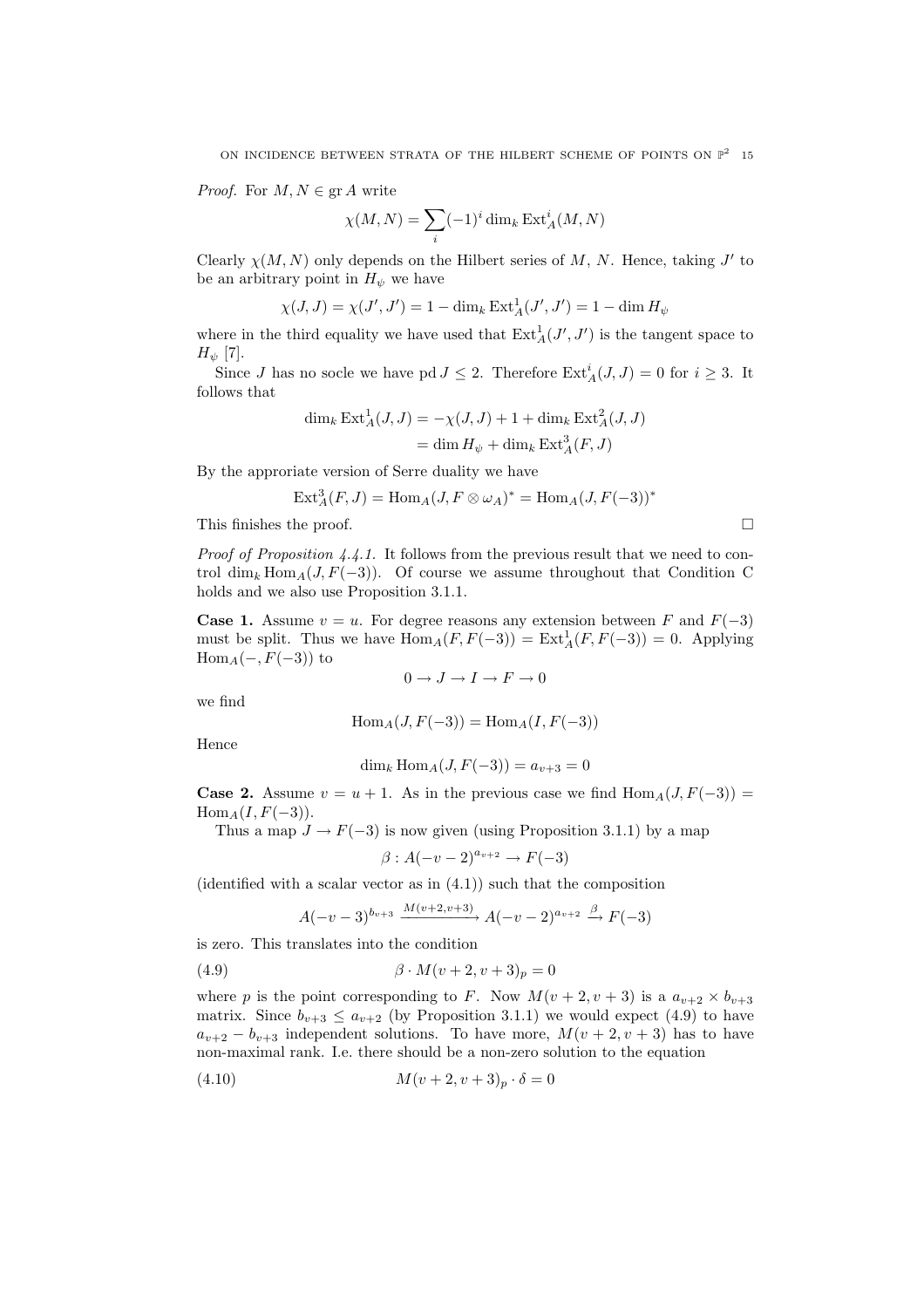*Proof.* For  $M, N \in \text{gr } A$  write

$$
\chi(M, N) = \sum_{i} (-1)^i \dim_k \operatorname{Ext}^i_A(M, N)
$$

Clearly  $\chi(M, N)$  only depends on the Hilbert series of M, N. Hence, taking J' to be an arbitrary point in  $H_{\psi}$  we have

$$
\chi(J, J) = \chi(J', J') = 1 - \dim_k \text{Ext}^1_A(J', J') = 1 - \dim H_{\psi}
$$

where in the third equality we have used that  $\text{Ext}^1_A(J',J')$  is the tangent space to  $H_{\psi}$  [7].

Since J has no socle we have pd  $J \leq 2$ . Therefore  $\text{Ext}_{A}^{i}(J, J) = 0$  for  $i \geq 3$ . It follows that

$$
\dim_k \operatorname{Ext}_A^1(J, J) = -\chi(J, J) + 1 + \dim_k \operatorname{Ext}_A^2(J, J)
$$

$$
= \dim H_{\psi} + \dim_k \operatorname{Ext}_A^3(F, J)
$$

By the approriate version of Serre duality we have

$$
\text{Ext}_{A}^{3}(F, J) = \text{Hom}_{A}(J, F \otimes \omega_{A})^{*} = \text{Hom}_{A}(J, F(-3))^{*}
$$

This finishes the proof.  $\Box$ 

Proof of Proposition 4.4.1. It follows from the previous result that we need to control dim<sub>k</sub> Hom<sub>A</sub>(J, F(−3)). Of course we assume throughout that Condition C holds and we also use Proposition 3.1.1.

**Case 1.** Assume  $v = u$ . For degree reasons any extension between F and  $F(-3)$ must be split. Thus we have  $\text{Hom}_A(F, F(-3)) = \text{Ext}^1_A(F, F(-3)) = 0$ . Applying  $Hom_A(-, F(-3))$  to

$$
0 \to J \to I \to F \to 0
$$

we find

$$
\operatorname{Hom}_A(J, F(-3)) = \operatorname{Hom}_A(I, F(-3))
$$

Hence

$$
\dim_k \text{Hom}_A(J, F(-3)) = a_{v+3} = 0
$$

**Case 2.** Assume  $v = u + 1$ . As in the previous case we find  $\text{Hom}_{A}(J, F(-3)) =$  $Hom_A(I, F(-3)).$ 

Thus a map  $J \to F(-3)$  is now given (using Proposition 3.1.1) by a map

$$
\beta: A(-v-2)^{a_{v+2}} \to F(-3)
$$

(identified with a scalar vector as in  $(4.1)$ ) such that the composition

$$
A(-v-3)^{b_{v+3}}\xrightarrow{M(v+2,v+3)} A(-v-2)^{a_{v+2}}\xrightarrow{\beta} F(-3)
$$

is zero. This translates into the condition

$$
(4.9) \qquad \beta \cdot M(v+2, v+3)_p = 0
$$

where p is the point corresponding to F. Now  $M(v + 2, v + 3)$  is a  $a_{v+2} \times b_{v+3}$ matrix. Since  $b_{v+3} \le a_{v+2}$  (by Proposition 3.1.1) we would expect (4.9) to have  $a_{v+2} - b_{v+3}$  independent solutions. To have more,  $M(v+2, v+3)$  has to have non-maximal rank. I.e. there should be a non-zero solution to the equation

(4.10) 
$$
M(v+2, v+3)_p \cdot \delta = 0
$$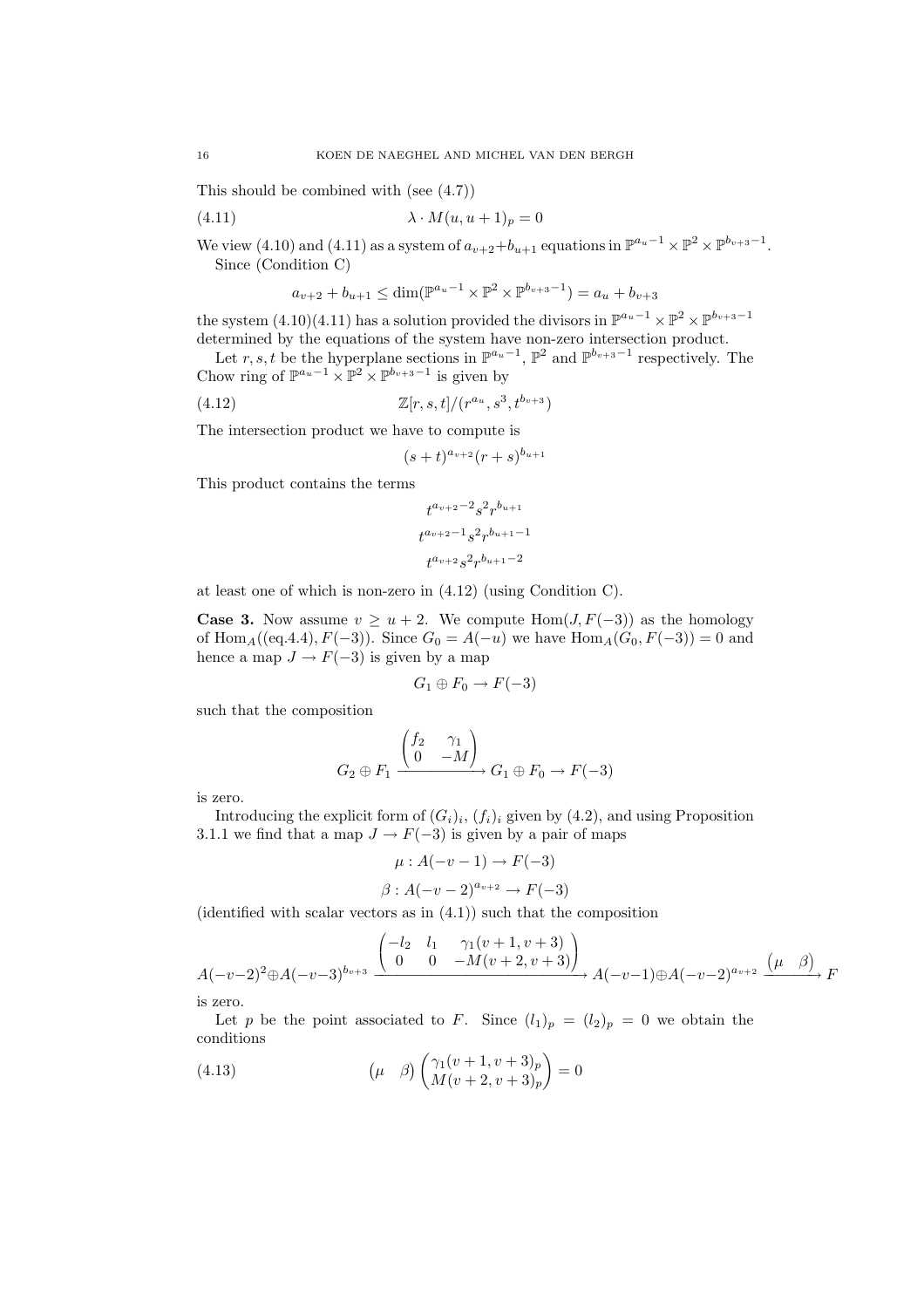This should be combined with (see (4.7))

$$
(4.11)\qquad \qquad \lambda \cdot M(u, u+1)_p = 0
$$

We view (4.10) and (4.11) as a system of  $a_{v+2}+b_{u+1}$  equations in  $\mathbb{P}^{a_u-1}\times\mathbb{P}^2\times\mathbb{P}^{b_{v+3}-1}$ . Since (Condition C)

$$
a_{v+2} + b_{u+1} \le \dim(\mathbb{P}^{a_u - 1} \times \mathbb{P}^2 \times \mathbb{P}^{b_{v+3} - 1}) = a_u + b_{v+3}
$$

the system  $(4.10)(4.11)$  has a solution provided the divisors in  $\mathbb{P}^{a_u-1} \times \mathbb{P}^2 \times \mathbb{P}^{b_{v+3}-1}$ determined by the equations of the system have non-zero intersection product.

Let r, s, t be the hyperplane sections in  $\mathbb{P}^{a_u-1}$ ,  $\mathbb{P}^2$  and  $\mathbb{P}^{b_v+3-1}$  respectively. The Chow ring of  $\mathbb{P}^{a_u-1} \times \mathbb{P}^2 \times \mathbb{P}^{b_{v+3}-1}$  is given by

(4.12) 
$$
\mathbb{Z}[r,s,t]/(r^{a_u},s^3,t^{b_{v+3}})
$$

The intersection product we have to compute is

$$
(s+t)^{a_{v+2}}(r+s)^{b_{u+1}}
$$

This product contains the terms

$$
t^{a_{v+2}-2}s^2r^{b_{u+1}}t^{a_{v+2}-1}s^2r^{b_{u+1}-1}t^{a_{v+2}}s^2r^{b_{u+1}-2}
$$

at least one of which is non-zero in (4.12) (using Condition C).

**Case 3.** Now assume  $v \geq u + 2$ . We compute Hom $(J, F(-3))$  as the homology of  $\text{Hom}_{A}((\text{eq.4.4}), F(-3))$ . Since  $G_0 = A(-u)$  we have  $\text{Hom}_{A}(G_0, F(-3)) = 0$  and hence a map  $J \to F(-3)$  is given by a map

$$
G_1 \oplus F_0 \to F(-3)
$$

such that the composition

$$
G_2 \oplus F_1 \xrightarrow{\begin{pmatrix} f_2 & \gamma_1 \\ 0 & -M \end{pmatrix}} G_1 \oplus F_0 \to F(-3)
$$

is zero.

Introducing the explicit form of  $(G_i)_i$ ,  $(f_i)_i$  given by  $(4.2)$ , and using Proposition 3.1.1 we find that a map  $J \to F(-3)$  is given by a pair of maps

$$
\mu: A(-v-1) \to F(-3)
$$

$$
\beta: A(-v-2)^{a_{v+2}} \to F(-3)
$$

(identified with scalar vectors as in  $(4.1)$ ) such that the composition

$$
A(-v-2)^2 \oplus A(-v-3)^{b_{v+3}} \xrightarrow{\begin{pmatrix} -l_2 & l_1 & \gamma_1(v+1, v+3) \\ 0 & 0 & -M(v+2, v+3) \end{pmatrix}} A(-v-1) \oplus A(-v-2)^{a_{v+2}} \xrightarrow{(\mu \quad \beta)} F
$$

is zero.

Let p be the point associated to F. Since  $(l_1)_p = (l_2)_p = 0$  we obtain the conditions

(4.13) 
$$
\left(\mu \quad \beta\right) \begin{pmatrix} \gamma_1(v+1, v+3)_p \\ M(v+2, v+3)_p \end{pmatrix} = 0
$$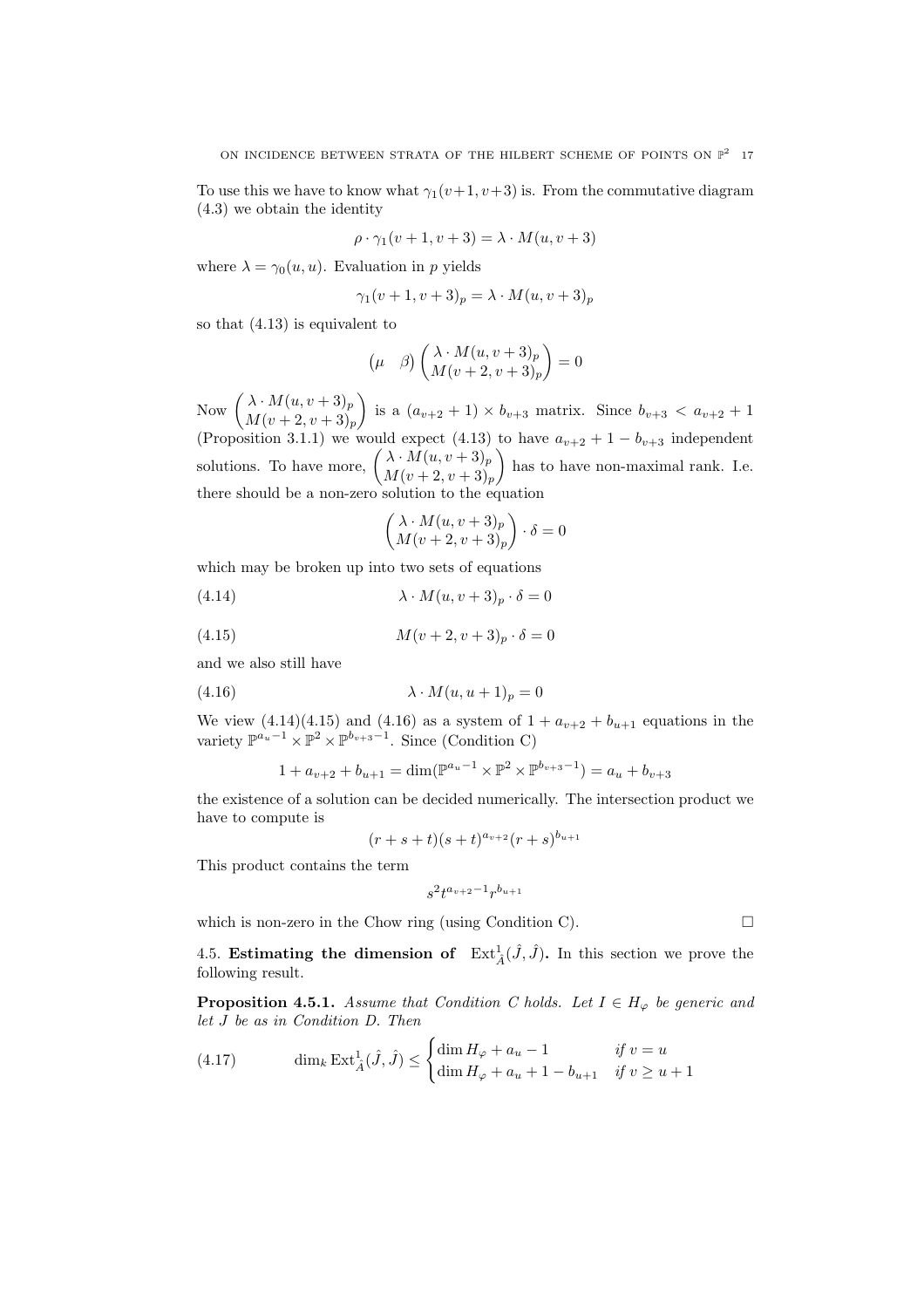To use this we have to know what  $\gamma_1(v+1, v+3)$  is. From the commutative diagram (4.3) we obtain the identity

$$
\rho \cdot \gamma_1(v+1, v+3) = \lambda \cdot M(u, v+3)
$$

where  $\lambda = \gamma_0(u, u)$ . Evaluation in p yields

$$
\gamma_1(v+1,v+3)_p = \lambda \cdot M(u,v+3)_p
$$

so that (4.13) is equivalent to

$$
(\mu \quad \beta) \begin{pmatrix} \lambda \cdot M(u, v+3)_p \\ M(v+2, v+3)_p \end{pmatrix} = 0
$$

Now  $\left(\frac{\lambda \cdot M(u, v+3)_p}{M(u+2, v+3)}\right)$  $M(v+2,v+3)_p$ is a  $(a_{v+2} + 1) \times b_{v+3}$  matrix. Since  $b_{v+3} < a_{v+2} + 1$ (Proposition 3.1.1) we would expect (4.13) to have  $a_{v+2} + 1 - b_{v+3}$  independent solutions. To have more,  $\begin{pmatrix} \lambda \cdot M(u, v+3)_p \\ M(u, v, 3, w, 3) \end{pmatrix}$  $M(v+2,v+3)_p$  has to have non-maximal rank. I.e. there should be a non-zero solution to the equation

$$
\begin{pmatrix} \lambda \cdot M(u, v+3)_p \\ M(v+2, v+3)_p \end{pmatrix} \cdot \delta = 0
$$

which may be broken up into two sets of equations

(4.14) 
$$
\lambda \cdot M(u, v+3)_p \cdot \delta = 0
$$

(4.15) 
$$
M(v+2, v+3)_p \cdot \delta = 0
$$

and we also still have

$$
(4.16)\qquad \qquad \lambda \cdot M(u, u+1)_p = 0
$$

We view  $(4.14)(4.15)$  and  $(4.16)$  as a system of  $1 + a_{v+2} + b_{u+1}$  equations in the variety  $\mathbb{P}^{a_u-1} \times \mathbb{P}^2 \times \mathbb{P}^{b_{v+3}-1}$ . Since (Condition C)

$$
1 + a_{v+2} + b_{u+1} = \dim(\mathbb{P}^{a_u - 1} \times \mathbb{P}^2 \times \mathbb{P}^{b_{v+3} - 1}) = a_u + b_{v+3}
$$

the existence of a solution can be decided numerically. The intersection product we have to compute is

$$
(r+s+t)(s+t)^{a_{v+2}}(r+s)^{b_{u+1}}
$$

This product contains the term

$$
s^2t^{a_{v+2}-1}r^{b_{u+1}}\\
$$

which is non-zero in the Chow ring (using Condition C).  $\Box$ 

4.5. Estimating the dimension of  $\text{Ext}^1_{\hat{A}}(\hat{J},\hat{J})$ . In this section we prove the following result.

**Proposition 4.5.1.** Assume that Condition C holds. Let  $I \in H_{\varphi}$  be generic and let J be as in Condition D. Then

(4.17) 
$$
\dim_k \text{Ext}^1_{\hat{A}}(\hat{J}, \hat{J}) \leq \begin{cases} \dim H_{\varphi} + a_u - 1 & \text{if } v = u \\ \dim H_{\varphi} + a_u + 1 - b_{u+1} & \text{if } v \geq u + 1 \end{cases}
$$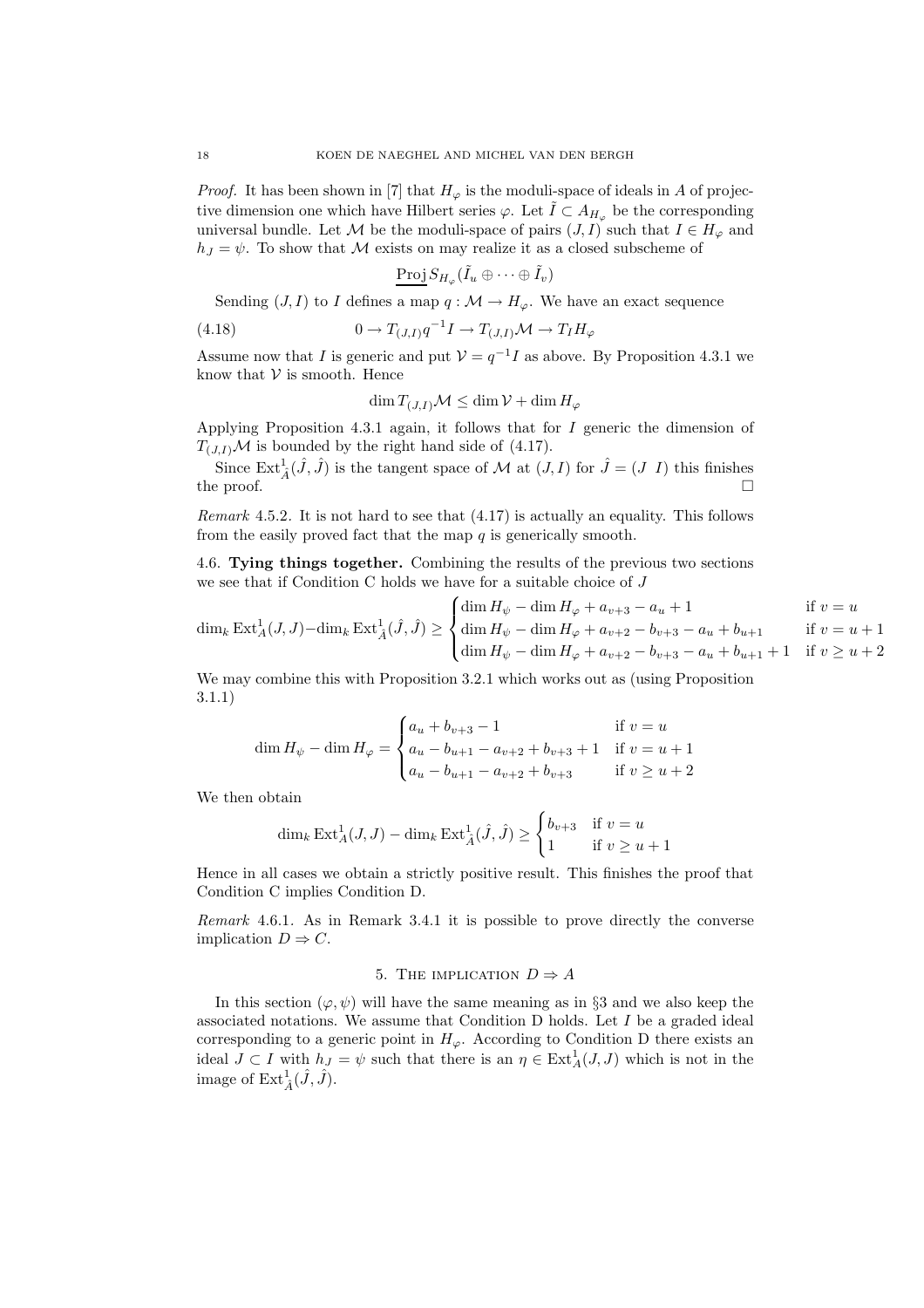*Proof.* It has been shown in [7] that  $H_{\varphi}$  is the moduli-space of ideals in A of projective dimension one which have Hilbert series  $\varphi$ . Let  $\tilde{I} \subset A_{H_{\varphi}}$  be the corresponding universal bundle. Let M be the moduli-space of pairs  $(J, I)$  such that  $I \in H_{\varphi}$  and  $h_I = \psi$ . To show that M exists on may realize it as a closed subscheme of

$$
\underline{\operatorname{Proj}} S_{H_{\varphi}}(\tilde{I}_u \oplus \cdots \oplus \tilde{I}_v)
$$

Sending  $(J, I)$  to I defines a map  $q : \mathcal{M} \to H_{\varphi}$ . We have an exact sequence

(4.18) 
$$
0 \to T_{(J,I)}q^{-1}I \to T_{(J,I)}\mathcal{M} \to T_I H_{\varphi}
$$

Assume now that I is generic and put  $\mathcal{V} = q^{-1}I$  as above. By Proposition 4.3.1 we know that  $V$  is smooth. Hence

$$
\dim T_{(J,I)}\mathcal{M} \le \dim \mathcal{V} + \dim H_{\varphi}
$$

Applying Proposition 4.3.1 again, it follows that for I generic the dimension of  $T_{(J,I)}\mathcal{M}$  is bounded by the right hand side of (4.17).

Since  $\text{Ext}_{\hat{A}}^1(\hat{J}, \hat{J})$  is the tangent space of M at  $(J, I)$  for  $\hat{J} = (J \ I)$  this finishes the proof.  $\Box$ 

Remark 4.5.2. It is not hard to see that (4.17) is actually an equality. This follows from the easily proved fact that the map  $q$  is generically smooth.

4.6. Tying things together. Combining the results of the previous two sections we see that if Condition C holds we have for a suitable choice of J

$$
\dim_k \operatorname{Ext}^1_A(J, J) - \dim_k \operatorname{Ext}^1_{\hat{A}}(\hat{J}, \hat{J}) \ge \begin{cases} \dim H_{\psi} - \dim H_{\varphi} + a_{v+3} - a_u + 1 & \text{if } v = u \\ \dim H_{\psi} - \dim H_{\varphi} + a_{v+2} - b_{v+3} - a_u + b_{u+1} & \text{if } v = u + 1 \\ \dim H_{\psi} - \dim H_{\varphi} + a_{v+2} - b_{v+3} - a_u + b_{u+1} + 1 & \text{if } v \ge u + 2 \end{cases}
$$

We may combine this with Proposition 3.2.1 which works out as (using Proposition 3.1.1)

$$
\dim H_{\psi} - \dim H_{\varphi} = \begin{cases} a_u + b_{v+3} - 1 & \text{if } v = u \\ a_u - b_{u+1} - a_{v+2} + b_{v+3} + 1 & \text{if } v = u + 1 \\ a_u - b_{u+1} - a_{v+2} + b_{v+3} & \text{if } v \ge u + 2 \end{cases}
$$

We then obtain

$$
\dim_k \operatorname{Ext}_A^1(J, J) - \dim_k \operatorname{Ext}_A^1(\hat{J}, \hat{J}) \ge \begin{cases} b_{v+3} & \text{if } v = u \\ 1 & \text{if } v \ge u+1 \end{cases}
$$

Hence in all cases we obtain a strictly positive result. This finishes the proof that Condition C implies Condition D.

Remark 4.6.1. As in Remark 3.4.1 it is possible to prove directly the converse implication  $D \Rightarrow C$ .

## 5. THE IMPLICATION  $D \Rightarrow A$

In this section  $(\varphi, \psi)$  will have the same meaning as in §3 and we also keep the associated notations. We assume that Condition D holds. Let  $I$  be a graded ideal corresponding to a generic point in  $H_{\varphi}$ . According to Condition D there exists an ideal  $J \subset I$  with  $h_J = \psi$  such that there is an  $\eta \in \text{Ext}^1_A(J, J)$  which is not in the image of  $\text{Ext}^1_{\hat{A}}(\hat{J}, \hat{J}).$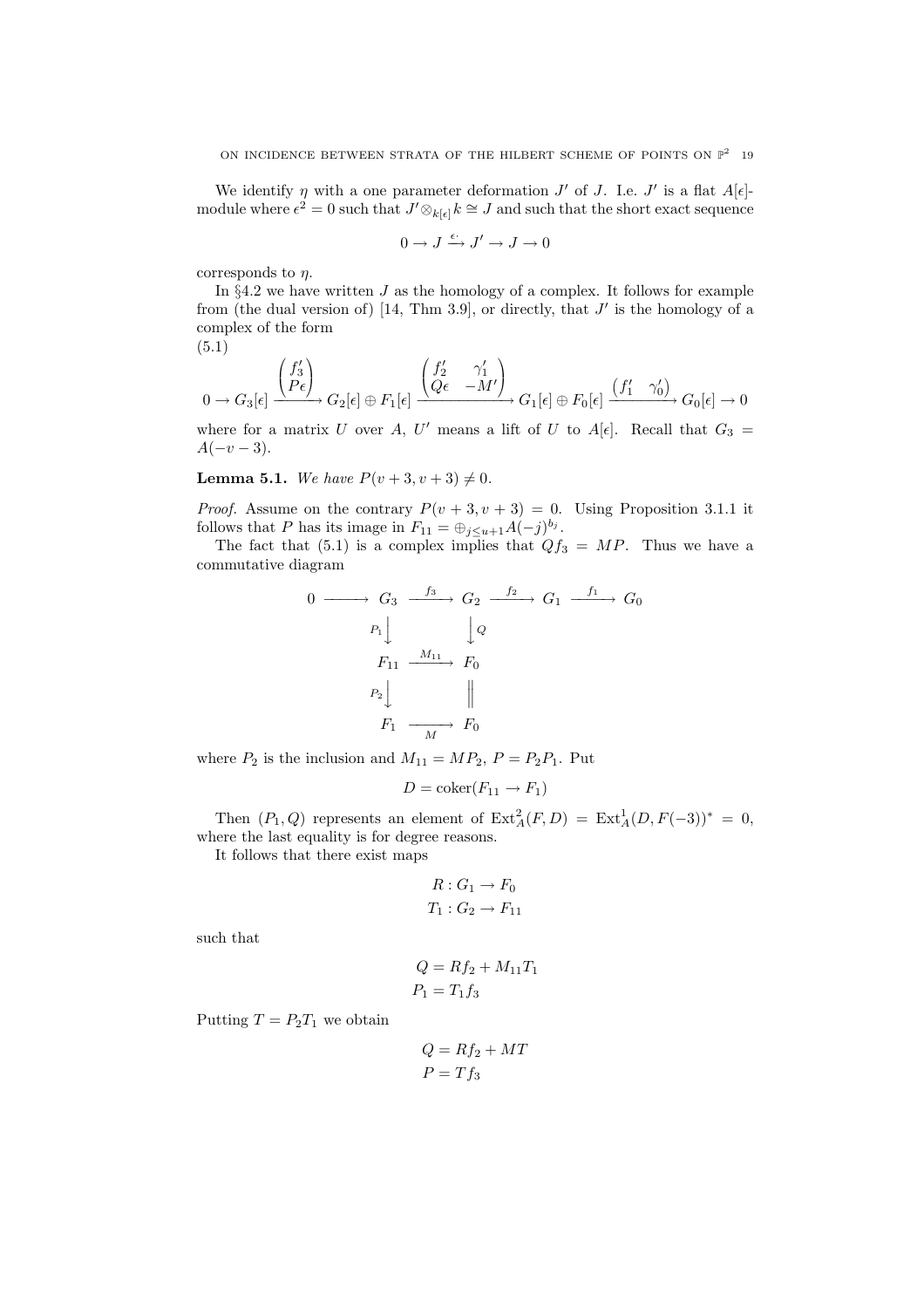We identify  $\eta$  with a one parameter deformation  $J'$  of  $J$ . I.e.  $J'$  is a flat  $A[\epsilon]$ module where  $\epsilon^2 = 0$  such that  $J' \otimes_{k[\epsilon]} k \cong J$  and such that the short exact sequence

$$
0\to J\xrightarrow{\epsilon\cdot} J'\to J\to 0
$$

corresponds to  $\eta$ .

In  $\S4.2$  we have written J as the homology of a complex. It follows for example from (the dual version of) [14, Thm 3.9], or directly, that  $J'$  is the homology of a complex of the form

$$
(5.1)
$$

$$
0 \to G_3[\epsilon] \xrightarrow{\begin{pmatrix} f'_3 \\ P\epsilon \end{pmatrix}} G_2[\epsilon] \oplus F_1[\epsilon] \xrightarrow{\begin{pmatrix} f'_2 & \gamma'_1 \\ Q\epsilon & -M' \end{pmatrix}} G_1[\epsilon] \oplus F_0[\epsilon] \xrightarrow{(f'_1 \quad \gamma'_0)} G_0[\epsilon] \to 0
$$

where for a matrix U over A, U' means a lift of U to  $A[\epsilon]$ . Recall that  $G_3 =$  $A(-v-3).$ 

**Lemma 5.1.** We have  $P(v+3, v+3) \neq 0$ .

*Proof.* Assume on the contrary  $P(v+3, v+3) = 0$ . Using Proposition 3.1.1 it follows that P has its image in  $F_{11} = \bigoplus_{j \le u+1} A(-j)^{b_j}$ .

The fact that (5.1) is a complex implies that  $Qf_3 = MP$ . Thus we have a commutative diagram

$$
0 \longrightarrow G_3 \xrightarrow{f_3} G_2 \xrightarrow{f_2} G_1 \xrightarrow{f_1} G_0
$$
  
\n
$$
P_1 \downarrow \qquad \qquad Q
$$
  
\n
$$
F_{11} \xrightarrow{M_{11}} F_0
$$
  
\n
$$
P_2 \downarrow \qquad \qquad \parallel
$$
  
\n
$$
F_1 \xrightarrow{M} F_0
$$

where  $P_2$  is the inclusion and  $M_{11} = MP_2$ ,  $P = P_2P_1$ . Put

$$
D = \mathrm{coker}(F_{11} \to F_1)
$$

Then  $(P_1, Q)$  represents an element of  $\text{Ext}^2_A(F, D) = \text{Ext}^1_A(D, F(-3))^* = 0$ , where the last equality is for degree reasons.

It follows that there exist maps

$$
R: G_1 \to F_0
$$

$$
T_1: G_2 \to F_{11}
$$

such that

$$
Q = Rf_2 + M_{11}T_1
$$
  

$$
P_1 = T_1f_3
$$

Putting  $T = P_2T_1$  we obtain

$$
Q = Rf_2 + MT
$$

$$
P = Tf_3
$$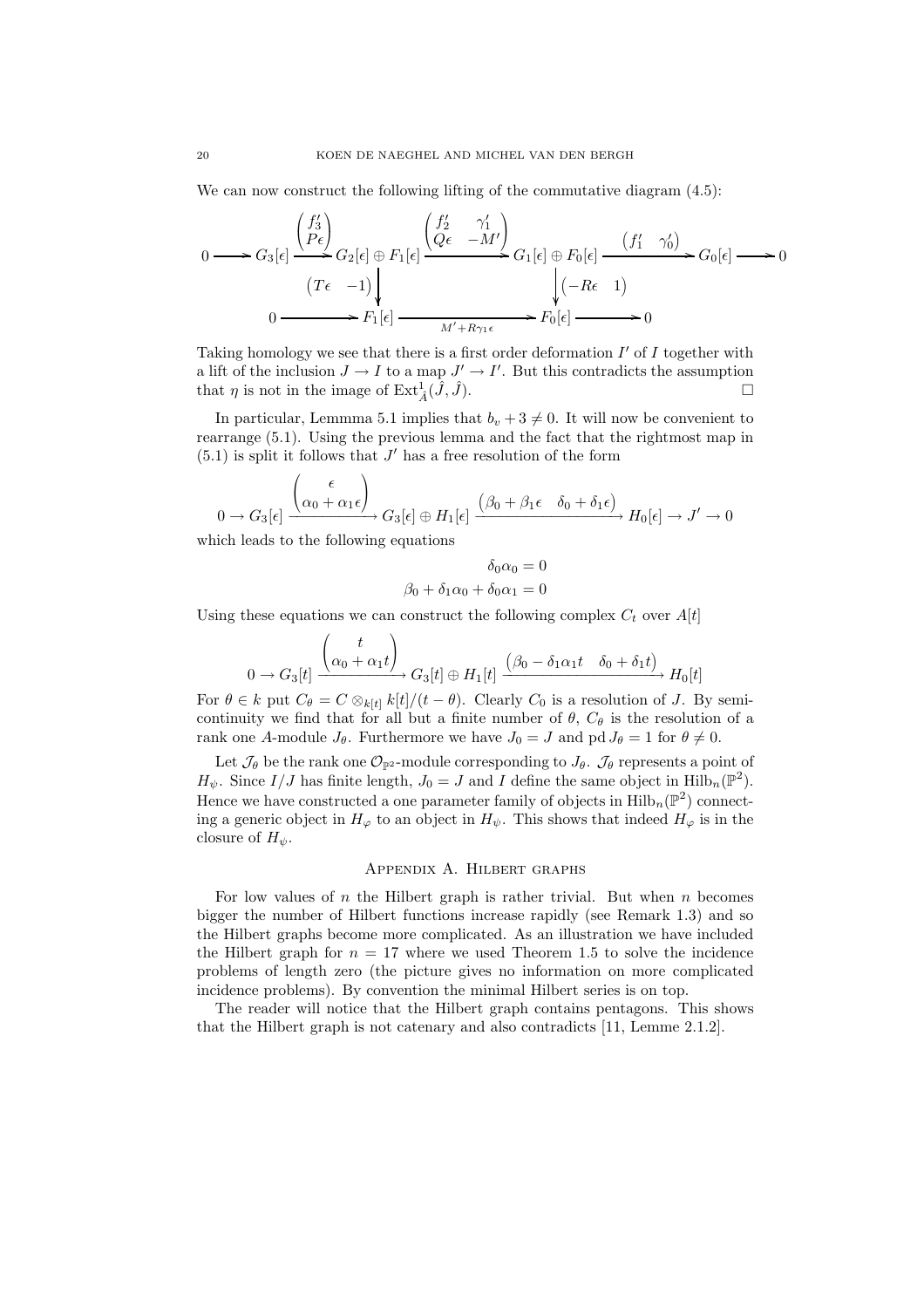We can now construct the following lifting of the commutative diagram  $(4.5)$ :

$$
0 \longrightarrow G_{3}[\epsilon] \xrightarrow{\begin{pmatrix} f'_{3} \\ P\epsilon \end{pmatrix}} G_{2}[\epsilon] \oplus F_{1}[\epsilon] \xrightarrow{\begin{pmatrix} f'_{2} & \gamma'_{1} \\ Q\epsilon & -M' \end{pmatrix}} G_{1}[\epsilon] \oplus F_{0}[\epsilon] \xrightarrow{\begin{pmatrix} f'_{1} & \gamma'_{0} \end{pmatrix}} G_{0}[\epsilon] \longrightarrow 0
$$
  

$$
(T\epsilon - 1) \downarrow \qquad \qquad \downarrow \quad (-R\epsilon - 1)
$$
  

$$
0 \longrightarrow F_{1}[\epsilon] \longrightarrow H' + R\gamma_{1}\epsilon \longrightarrow F_{0}[\epsilon] \longrightarrow 0
$$

Taking homology we see that there is a first order deformation  $I'$  of  $I$  together with a lift of the inclusion  $J \to I$  to a map  $J' \to I'$ . But this contradicts the assumption that  $\eta$  is not in the image of  $\text{Ext}^1_{\hat{A}}(\hat{J}, \hat{J}).$ 

In particular, Lemmma 5.1 implies that  $b_v + 3 \neq 0$ . It will now be convenient to rearrange (5.1). Using the previous lemma and the fact that the rightmost map in  $(5.1)$  is split it follows that  $J'$  has a free resolution of the form

$$
0 \to G_3[\epsilon] \xrightarrow{\begin{pmatrix} \epsilon \\ \alpha_0 + \alpha_1 \epsilon \end{pmatrix}} G_3[\epsilon] \oplus H_1[\epsilon] \xrightarrow{\begin{pmatrix} \beta_0 + \beta_1 \epsilon & \delta_0 + \delta_1 \epsilon \end{pmatrix}} H_0[\epsilon] \to J' \to 0
$$

which leads to the following equations

$$
\delta_0 \alpha_0 = 0
$$

$$
\beta_0 + \delta_1 \alpha_0 + \delta_0 \alpha_1 = 0
$$

Using these equations we can construct the following complex  $C_t$  over  $A[t]$ 

$$
0 \to G_3[t] \xrightarrow{\begin{pmatrix} t \\ \alpha_0 + \alpha_1 t \end{pmatrix}} G_3[t] \oplus H_1[t] \xrightarrow{\begin{pmatrix} \beta_0 - \delta_1 \alpha_1 t & \delta_0 + \delta_1 t \end{pmatrix}} H_0[t]
$$

For  $\theta \in k$  put  $C_{\theta} = C \otimes_{k[t]} k[t]/(t - \theta)$ . Clearly  $C_0$  is a resolution of J. By semicontinuity we find that for all but a finite number of  $\theta$ ,  $C_{\theta}$  is the resolution of a rank one A-module  $J_{\theta}$ . Furthermore we have  $J_0 = J$  and pd  $J_{\theta} = 1$  for  $\theta \neq 0$ .

Let  $\mathcal{J}_{\theta}$  be the rank one  $\mathcal{O}_{\mathbb{P}^2}$ -module corresponding to  $J_{\theta}$ .  $\mathcal{J}_{\theta}$  represents a point of  $H_{\psi}$ . Since  $I/J$  has finite length,  $J_0 = J$  and I define the same object in  $\text{Hilb}_n(\mathbb{P}^2)$ . Hence we have constructed a one parameter family of objects in  $\mathrm{Hilb}_n(\mathbb{P}^2)$  connecting a generic object in  $H_{\varphi}$  to an object in  $H_{\psi}$ . This shows that indeed  $H_{\varphi}$  is in the closure of  $H_{\psi}$ .

## Appendix A. Hilbert graphs

For low values of n the Hilbert graph is rather trivial. But when  $n$  becomes bigger the number of Hilbert functions increase rapidly (see Remark 1.3) and so the Hilbert graphs become more complicated. As an illustration we have included the Hilbert graph for  $n = 17$  where we used Theorem 1.5 to solve the incidence problems of length zero (the picture gives no information on more complicated incidence problems). By convention the minimal Hilbert series is on top.

The reader will notice that the Hilbert graph contains pentagons. This shows that the Hilbert graph is not catenary and also contradicts [11, Lemme 2.1.2].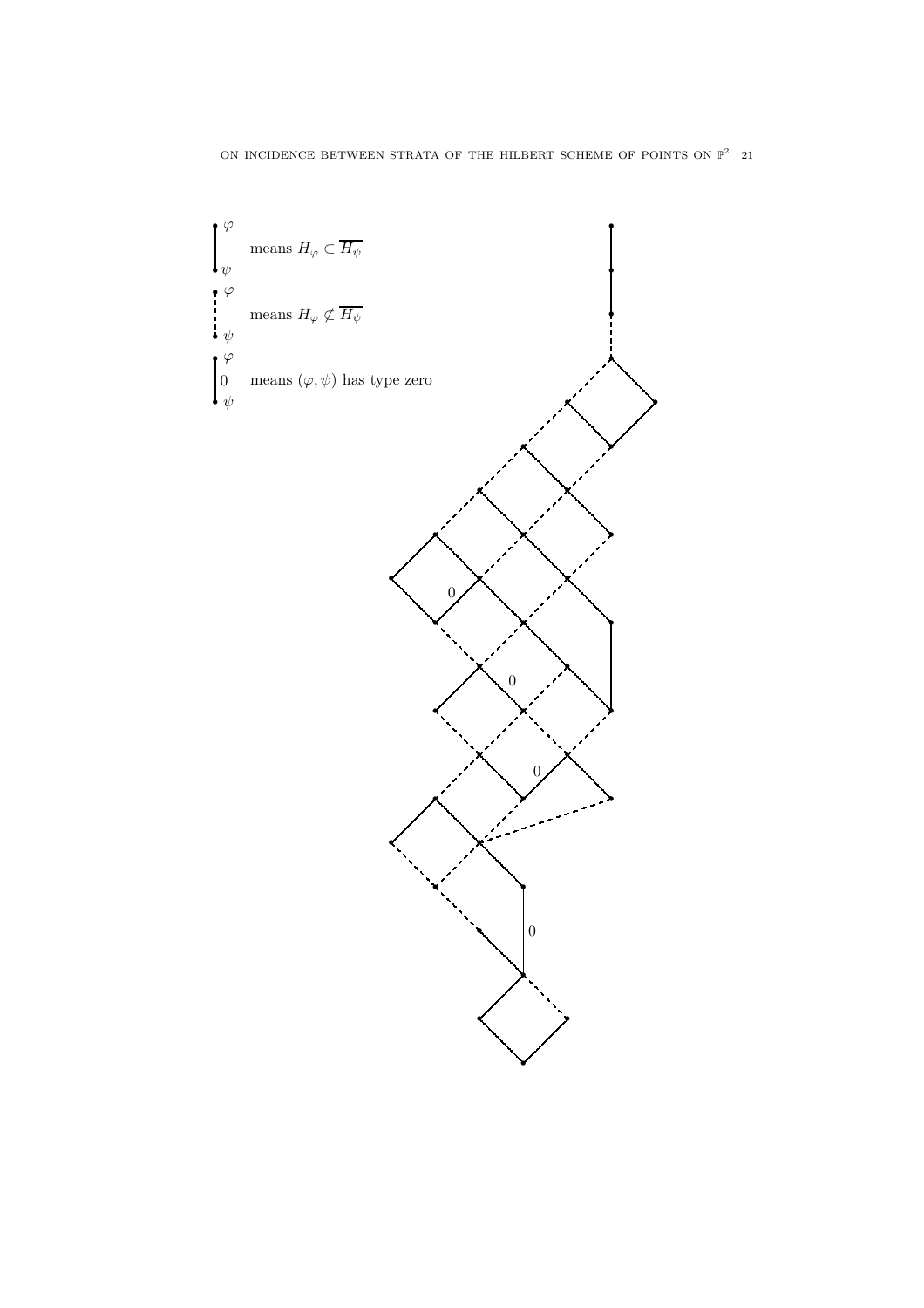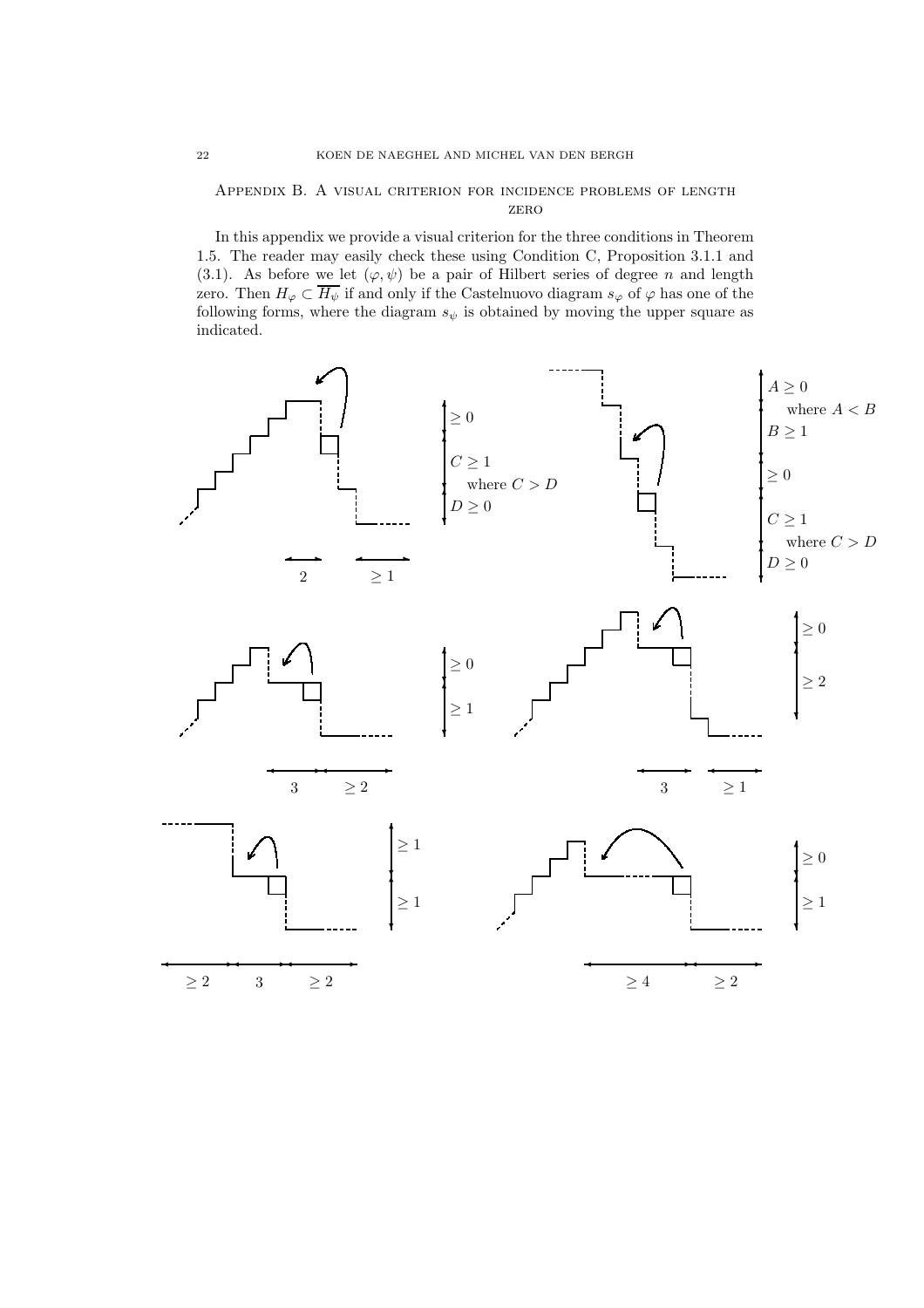## Appendix B. A visual criterion for incidence problems of length zero

In this appendix we provide a visual criterion for the three conditions in Theorem 1.5. The reader may easily check these using Condition C, Proposition 3.1.1 and (3.1). As before we let  $(\varphi, \psi)$  be a pair of Hilbert series of degree n and length zero. Then  $H_{\varphi} \subset \overline{H_{\psi}}$  if and only if the Castelnuovo diagram  $s_{\varphi}$  of  $\varphi$  has one of the following forms, where the diagram  $s_{\psi}$  is obtained by moving the upper square as indicated.